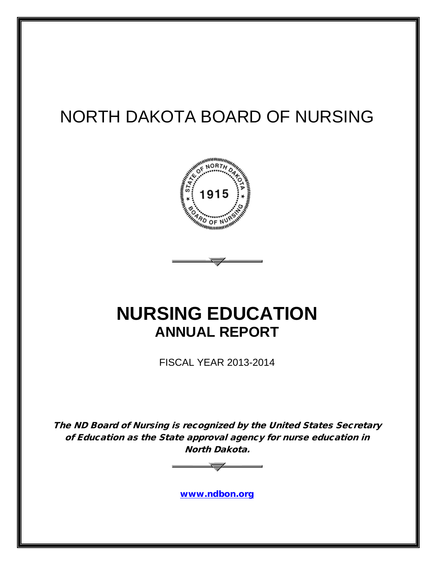# NORTH DAKOTA BOARD OF NURSING



# **NURSING EDUCATION ANNUAL REPORT**

FISCAL YEAR 2013-2014

The ND Board of Nursing is recognized by the United States Secretary of Education as the State approval agency for nurse education in North Dakota.



[www.ndbon.org](http://www.ndbon.org/)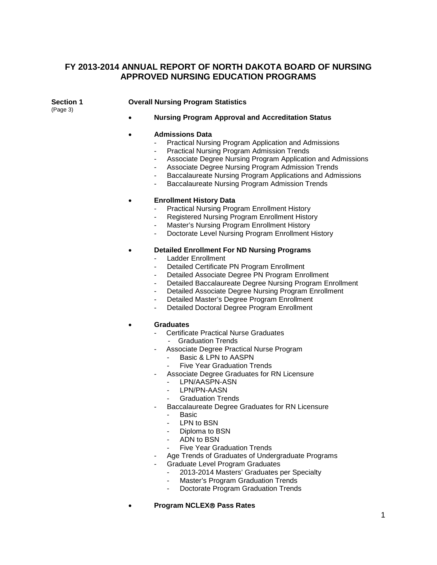### **FY 2013-2014 ANNUAL REPORT OF NORTH DAKOTA BOARD OF NURSING APPROVED NURSING EDUCATION PROGRAMS**

(Page 3)

### **Section 1 Overall Nursing Program Statistics**

• **Nursing Program Approval and Accreditation Status**

#### • **Admissions Data**

- Practical Nursing Program Application and Admissions
- Practical Nursing Program Admission Trends
- Associate Degree Nursing Program Application and Admissions
- Associate Degree Nursing Program Admission Trends
- Baccalaureate Nursing Program Applications and Admissions
- Baccalaureate Nursing Program Admission Trends

### • **Enrollment History Data**

- Practical Nursing Program Enrollment History
- Registered Nursing Program Enrollment History
- Master's Nursing Program Enrollment History
- Doctorate Level Nursing Program Enrollment History

### • **Detailed Enrollment For ND Nursing Programs**

- Ladder Enrollment
- Detailed Certificate PN Program Enrollment
- Detailed Associate Degree PN Program Enrollment
- Detailed Baccalaureate Degree Nursing Program Enrollment
- Detailed Associate Degree Nursing Program Enrollment
- Detailed Master's Degree Program Enrollment
- Detailed Doctoral Degree Program Enrollment

#### • **Graduates**

- Certificate Practical Nurse Graduates
	- Graduation Trends
- Associate Degree Practical Nurse Program
	- Basic & LPN to AASPN
	- **Five Year Graduation Trends**
- Associate Degree Graduates for RN Licensure
	- LPN/AASPN-ASN
	- LPN/PN-AASN
	- Graduation Trends
- Baccalaureate Degree Graduates for RN Licensure
	- Basic
	- LPN to BSN
	- Diploma to BSN
	- ADN to BSN
	- Five Year Graduation Trends
- Age Trends of Graduates of Undergraduate Programs
- Graduate Level Program Graduates
	- 2013-2014 Masters' Graduates per Specialty
	- Master's Program Graduation Trends
	- Doctorate Program Graduation Trends
- **Program NCLEX Pass Rates**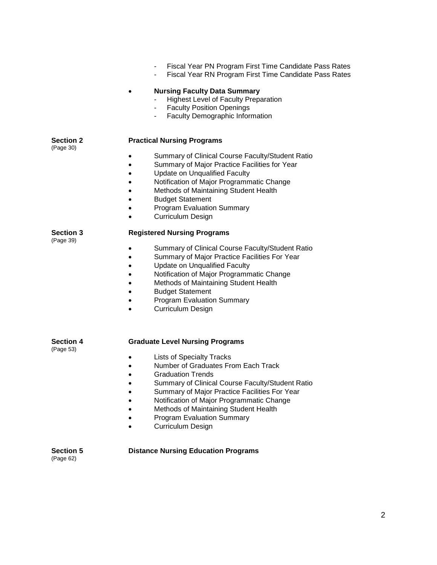- Fiscal Year PN Program First Time Candidate Pass Rates
- Fiscal Year RN Program First Time Candidate Pass Rates

#### • **Nursing Faculty Data Summary**

- Highest Level of Faculty Preparation
- Faculty Position Openings<br>- Faculty Demographic Inform
- Faculty Demographic Information

### **Section 2 Practical Nursing Programs**

(Page 30)

- Summary of Clinical Course Faculty/Student Ratio
- Summary of Major Practice Facilities for Year
- Update on Unqualified Faculty
- Notification of Major Programmatic Change
- Methods of Maintaining Student Health
- Budget Statement
- Program Evaluation Summary
- Curriculum Design

(Page 39)

### **Section 3 Registered Nursing Programs**

- Summary of Clinical Course Faculty/Student Ratio
- Summary of Major Practice Facilities For Year
- Update on Unqualified Faculty
- Notification of Major Programmatic Change
- Methods of Maintaining Student Health
- Budget Statement
- Program Evaluation Summary
- Curriculum Design

#### **Section 4 Graduate Level Nursing Programs**

(Page 53)

### • Lists of Specialty Tracks

- Number of Graduates From Each Track
- Graduation Trends
- Summary of Clinical Course Faculty/Student Ratio
- Summary of Major Practice Facilities For Year
- Notification of Major Programmatic Change
- Methods of Maintaining Student Health
- Program Evaluation Summary
- Curriculum Design

(Page 62)

#### **Section 5 Distance Nursing Education Programs**

2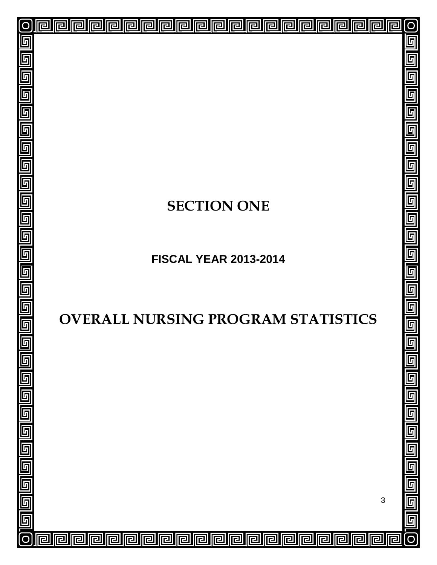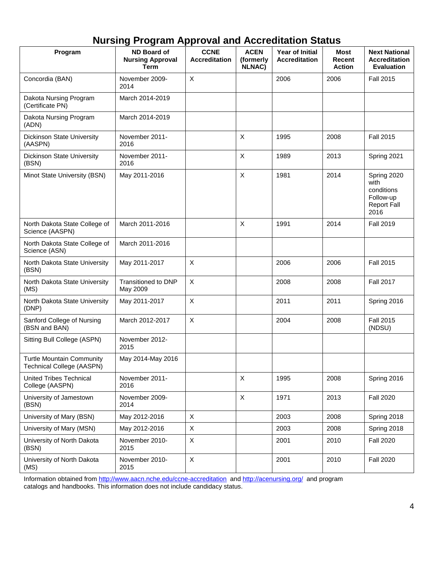## **Nursing Program Approval and Accreditation Status**

| Program                                                       | <b>ND Board of</b><br><b>Nursing Approval</b><br><b>Term</b> | <b>CCNE</b><br><b>Accreditation</b> | <b>ACEN</b><br>(formerly<br><b>NLNAC)</b> | Year of Initial<br><b>Accreditation</b> | Most<br>Recent<br><b>Action</b> | <b>Next National</b><br><b>Accreditation</b><br><b>Evaluation</b>            |
|---------------------------------------------------------------|--------------------------------------------------------------|-------------------------------------|-------------------------------------------|-----------------------------------------|---------------------------------|------------------------------------------------------------------------------|
| Concordia (BAN)                                               | November 2009-<br>2014                                       | X                                   |                                           | 2006                                    | 2006                            | <b>Fall 2015</b>                                                             |
| Dakota Nursing Program<br>(Certificate PN)                    | March 2014-2019                                              |                                     |                                           |                                         |                                 |                                                                              |
| Dakota Nursing Program<br>(ADN)                               | March 2014-2019                                              |                                     |                                           |                                         |                                 |                                                                              |
| Dickinson State University<br>(AASPN)                         | November 2011-<br>2016                                       |                                     | X                                         | 1995                                    | 2008                            | <b>Fall 2015</b>                                                             |
| <b>Dickinson State University</b><br>(BSN)                    | November 2011-<br>2016                                       |                                     | X                                         | 1989                                    | 2013                            | Spring 2021                                                                  |
| Minot State University (BSN)                                  | May 2011-2016                                                |                                     | X                                         | 1981                                    | 2014                            | Spring 2020<br>with<br>conditions<br>Follow-up<br><b>Report Fall</b><br>2016 |
| North Dakota State College of<br>Science (AASPN)              | March 2011-2016                                              |                                     | X                                         | 1991                                    | 2014                            | <b>Fall 2019</b>                                                             |
| North Dakota State College of<br>Science (ASN)                | March 2011-2016                                              |                                     |                                           |                                         |                                 |                                                                              |
| North Dakota State University<br>(BSN)                        | May 2011-2017                                                | X                                   |                                           | 2006                                    | 2006                            | <b>Fall 2015</b>                                                             |
| North Dakota State University<br>(MS)                         | Transitioned to DNP<br>May 2009                              | X                                   |                                           | 2008                                    | 2008                            | <b>Fall 2017</b>                                                             |
| North Dakota State University<br>(DNP)                        | May 2011-2017                                                | X                                   |                                           | 2011                                    | 2011                            | Spring 2016                                                                  |
| Sanford College of Nursing<br>(BSN and BAN)                   | March 2012-2017                                              | X                                   |                                           | 2004                                    | 2008                            | <b>Fall 2015</b><br>(NDSU)                                                   |
| Sitting Bull College (ASPN)                                   | November 2012-<br>2015                                       |                                     |                                           |                                         |                                 |                                                                              |
| <b>Turtle Mountain Community</b><br>Technical College (AASPN) | May 2014-May 2016                                            |                                     |                                           |                                         |                                 |                                                                              |
| <b>United Tribes Technical</b><br>College (AASPN)             | November 2011-<br>2016                                       |                                     | X                                         | 1995                                    | 2008                            | Spring 2016                                                                  |
| University of Jamestown<br>(BSN)                              | November 2009-<br>2014                                       |                                     | X                                         | 1971                                    | 2013                            | <b>Fall 2020</b>                                                             |
| University of Mary (BSN)                                      | May 2012-2016                                                | X                                   |                                           | 2003                                    | 2008                            | Spring 2018                                                                  |
| University of Mary (MSN)                                      | May 2012-2016                                                | $\boldsymbol{\mathsf{X}}$           |                                           | 2003                                    | 2008                            | Spring 2018                                                                  |
| University of North Dakota<br>(BSN)                           | November 2010-<br>2015                                       | X                                   |                                           | 2001                                    | 2010                            | <b>Fall 2020</b>                                                             |
| University of North Dakota<br>(MS)                            | November 2010-<br>2015                                       | X                                   |                                           | 2001                                    | 2010                            | <b>Fall 2020</b>                                                             |

Information obtained fro[m http://www.aacn.nche.edu/ccne-accreditation](http://www.aacn.nche.edu/ccne-accreditation) and<http://acenursing.org/> and program catalogs and handbooks. This information does not include candidacy status.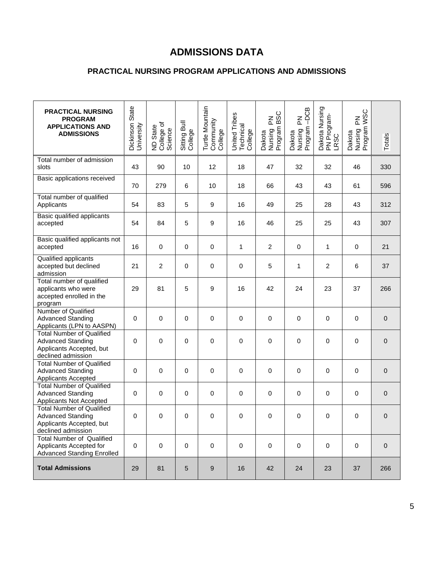## **ADMISSIONS DATA**

### **PRACTICAL NURSING PROGRAM APPLICATIONS AND ADMISSIONS**

| <b>PRACTICAL NURSING</b><br><b>PROGRAM</b><br><b>APPLICATIONS AND</b><br><b>ADMISSIONS</b>                     | Dickinson State<br>University | ND State<br>College of<br>Science | Sitting Bull<br>College | Turtle Mountain<br>Community<br>College | United Tribes<br>Technical<br>College | <b>BSC</b><br>$\mathop{\Xi}\limits_{\mathop{\rm l\negthinspace L}}$<br>Dakota<br>Nursing F<br>Program I | -DCB<br>$\mathop{\underline{\mathsf{Z}}}\nolimits$<br>Dakota<br>Nursing F<br>Program - | Dakota Nursing<br>PN Program-<br><b>LRSC</b> | <b>VSC</b><br>$\mathop{\Xi}\limits_{\mathbb{L}}$<br>Dakota<br>Nursing F<br>Program \ | Totals      |
|----------------------------------------------------------------------------------------------------------------|-------------------------------|-----------------------------------|-------------------------|-----------------------------------------|---------------------------------------|---------------------------------------------------------------------------------------------------------|----------------------------------------------------------------------------------------|----------------------------------------------|--------------------------------------------------------------------------------------|-------------|
| Total number of admission<br>slots                                                                             | 43                            | 90                                | 10                      | 12                                      | 18                                    | 47                                                                                                      | 32                                                                                     | 32                                           | 46                                                                                   | 330         |
| Basic applications received                                                                                    | 70                            | 279                               | 6                       | 10                                      | 18                                    | 66                                                                                                      | 43                                                                                     | 43                                           | 61                                                                                   | 596         |
| Total number of qualified<br>Applicants                                                                        | 54                            | 83                                | 5                       | 9                                       | 16                                    | 49                                                                                                      | 25                                                                                     | 28                                           | 43                                                                                   | 312         |
| Basic qualified applicants<br>accepted                                                                         | 54                            | 84                                | 5                       | 9                                       | 16                                    | 46                                                                                                      | 25                                                                                     | 25                                           | 43                                                                                   | 307         |
| Basic qualified applicants not<br>accepted                                                                     | 16                            | 0                                 | 0                       | $\mathbf 0$                             | 1                                     | $\overline{2}$                                                                                          | $\pmb{0}$                                                                              | 1                                            | 0                                                                                    | 21          |
| Qualified applicants<br>accepted but declined<br>admission                                                     | 21                            | $\overline{2}$                    | 0                       | $\mathbf 0$                             | 0                                     | 5                                                                                                       | 1                                                                                      | $\overline{c}$                               | 6                                                                                    | 37          |
| Total number of qualified<br>applicants who were<br>accepted enrolled in the<br>program                        | 29                            | 81                                | 5                       | 9                                       | 16                                    | 42                                                                                                      | 24                                                                                     | 23                                           | 37                                                                                   | 266         |
| Number of Qualified<br><b>Advanced Standing</b><br>Applicants (LPN to AASPN)                                   | 0                             | 0                                 | 0                       | $\pmb{0}$                               | 0                                     | $\mathbf 0$                                                                                             | $\pmb{0}$                                                                              | 0                                            | 0                                                                                    | $\pmb{0}$   |
| <b>Total Number of Qualified</b><br><b>Advanced Standing</b><br>Applicants Accepted, but<br>declined admission | 0                             | 0                                 | 0                       | $\mathbf 0$                             | 0                                     | $\mathbf 0$                                                                                             | 0                                                                                      | 0                                            | 0                                                                                    | $\pmb{0}$   |
| <b>Total Number of Qualified</b><br><b>Advanced Standing</b><br>Applicants Accepted                            | 0                             | 0                                 | 0                       | $\pmb{0}$                               | 0                                     | $\mathbf 0$                                                                                             | 0                                                                                      | 0                                            | 0                                                                                    | $\pmb{0}$   |
| <b>Total Number of Qualified</b><br><b>Advanced Standing</b><br>Applicants Not Accepted                        | $\mathbf 0$                   | 0                                 | 0                       | $\pmb{0}$                               | 0                                     | $\pmb{0}$                                                                                               | $\pmb{0}$                                                                              | 0                                            | $\pmb{0}$                                                                            | 0           |
| <b>Total Number of Qualified</b><br><b>Advanced Standing</b><br>Applicants Accepted, but<br>declined admission | 0                             | 0                                 | 0                       | 0                                       | 0                                     | 0                                                                                                       | 0                                                                                      | 0                                            | 0                                                                                    | 0           |
| <b>Total Number of Qualified</b><br>Applicants Accepted for<br><b>Advanced Standing Enrolled</b>               | $\pmb{0}$                     | $\pmb{0}$                         | $\mathbf 0$             | $\mathbf 0$                             | $\mathbf 0$                           | $\mathbf 0$                                                                                             | $\pmb{0}$                                                                              | $\mathbf 0$                                  | 0                                                                                    | $\mathbf 0$ |
| <b>Total Admissions</b>                                                                                        | 29                            | 81                                | $\sqrt{5}$              | 9                                       | 16                                    | 42                                                                                                      | 24                                                                                     | 23                                           | 37                                                                                   | 266         |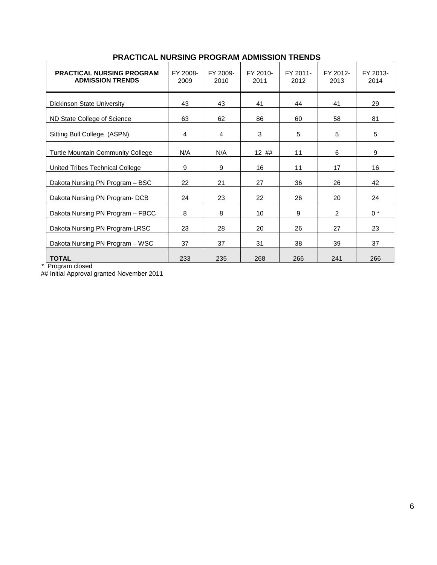| <b>PRACTICAL NURSING PROGRAM</b><br><b>ADMISSION TRENDS</b> | FY 2008-<br>2009 | FY 2009-<br>2010 | FY 2010-<br>2011 | FY 2011-<br>2012 | FY 2012-<br>2013 | FY 2013-<br>2014 |
|-------------------------------------------------------------|------------------|------------------|------------------|------------------|------------------|------------------|
| <b>Dickinson State University</b>                           | 43               | 43               | 41               | 44               | 41               | 29               |
| ND State College of Science                                 | 63               | 62               | 86               | 60               | 58               | 81               |
| Sitting Bull College (ASPN)                                 | 4                | 4                | 3                | 5                | 5                | 5                |
| <b>Turtle Mountain Community College</b>                    | N/A              | N/A              | 12 ##            | 11               | 6                | 9                |
| United Tribes Technical College                             | 9                | 9                | 16               | 11               | 17               | 16               |
| Dakota Nursing PN Program - BSC                             | 22               | 21               | 27               | 36               | 26               | 42               |
| Dakota Nursing PN Program- DCB                              | 24               | 23               | 22               | 26               | 20               | 24               |
| Dakota Nursing PN Program - FBCC                            | 8                | 8                | 10               | 9                | 2                | $0 *$            |
| Dakota Nursing PN Program-LRSC                              | 23               | 28               | 20               | 26               | 27               | 23               |
| Dakota Nursing PN Program - WSC                             | 37               | 37               | 31               | 38               | 39               | 37               |
| <b>TOTAL</b>                                                | 233              | 235              | 268              | 266              | 241              | 266              |

### **PRACTICAL NURSING PROGRAM ADMISSION TRENDS**

\* Program closed

## Initial Approval granted November 2011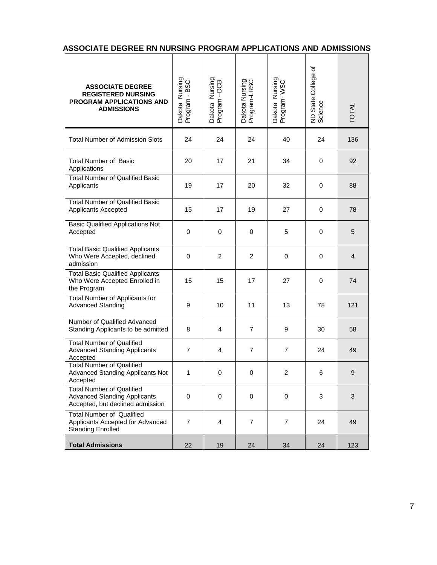|  | ASSOCIATE DEGREE RN NURSING PROGRAM APPLICATIONS AND ADMISSIONS |  |  |  |  |
|--|-----------------------------------------------------------------|--|--|--|--|
|--|-----------------------------------------------------------------|--|--|--|--|

| <b>ASSOCIATE DEGREE</b><br><b>REGISTERED NURSING</b><br>PROGRAM APPLICATIONS AND<br><b>ADMISSIONS</b>       | Dakota Nursing<br>Program - BSC | Dakota Nursing<br>Program –DCB | Dakota Nursing<br>Program-LRSC | Dakota Nursing<br>Program-WSC | ৳<br>ND State College<br>Science | <b>TOTAL</b>     |
|-------------------------------------------------------------------------------------------------------------|---------------------------------|--------------------------------|--------------------------------|-------------------------------|----------------------------------|------------------|
| <b>Total Number of Admission Slots</b>                                                                      | 24                              | 24                             | 24                             | 40                            | 24                               | 136              |
| <b>Total Number of Basic</b><br>Applications                                                                | 20                              | 17                             | 21                             | 34                            | 0                                | 92               |
| <b>Total Number of Qualified Basic</b><br>Applicants                                                        | 19                              | 17                             | 20                             | 32                            | 0                                | 88               |
| <b>Total Number of Qualified Basic</b><br>Applicants Accepted                                               | 15                              | 17                             | 19                             | 27                            | 0                                | 78               |
| <b>Basic Qualified Applications Not</b><br>Accepted                                                         | 0                               | 0                              | 0                              | 5                             | 0                                | 5                |
| <b>Total Basic Qualified Applicants</b><br>Who Were Accepted, declined<br>admission                         | 0                               | 2                              | $\overline{2}$                 | 0                             | 0                                | 4                |
| <b>Total Basic Qualified Applicants</b><br>Who Were Accepted Enrolled in<br>the Program                     | 15                              | 15                             | 17                             | 27                            | 0                                | 74               |
| <b>Total Number of Applicants for</b><br><b>Advanced Standing</b>                                           | 9                               | 10                             | 11                             | 13                            | 78                               | 121              |
| Number of Qualified Advanced<br>Standing Applicants to be admitted                                          | 8                               | 4                              | $\overline{7}$                 | 9                             | 30                               | 58               |
| <b>Total Number of Qualified</b><br><b>Advanced Standing Applicants</b><br>Accepted                         | $\overline{7}$                  | 4                              | $\overline{7}$                 | $\overline{7}$                | 24                               | 49               |
| <b>Total Number of Qualified</b><br><b>Advanced Standing Applicants Not</b><br>Accepted                     | 1                               | 0                              | 0                              | $\overline{c}$                | 6                                | $\boldsymbol{9}$ |
| <b>Total Number of Qualified</b><br><b>Advanced Standing Applicants</b><br>Accepted, but declined admission | $\mathbf 0$                     | 0                              | $\mathbf 0$                    | 0                             | 3                                | 3                |
| <b>Total Number of Qualified</b><br>Applicants Accepted for Advanced<br><b>Standing Enrolled</b>            | $\overline{7}$                  | 4                              | $\overline{7}$                 | $\overline{7}$                | 24                               | 49               |
| <b>Total Admissions</b>                                                                                     | 22                              | 19                             | 24                             | 34                            | 24                               | 123              |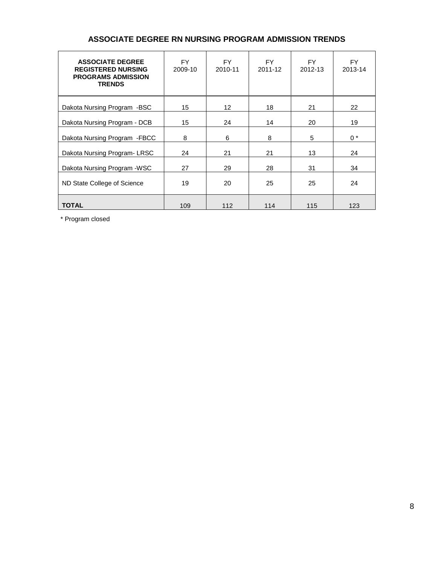| <b>ASSOCIATE DEGREE</b><br><b>REGISTERED NURSING</b><br><b>PROGRAMS ADMISSION</b><br><b>TRENDS</b> | FY.<br>2009-10 | FY.<br>2010-11 | FY.<br>2011-12 | FY.<br>2012-13 | FY.<br>2013-14 |
|----------------------------------------------------------------------------------------------------|----------------|----------------|----------------|----------------|----------------|
| Dakota Nursing Program -BSC                                                                        | 15             | 12             | 18             | 21             | 22             |
| Dakota Nursing Program - DCB                                                                       | 15             | 24             | 14             | 20             | 19             |
| Dakota Nursing Program - FBCC                                                                      | 8              | 6              | 8              | 5              | $0 *$          |
| Dakota Nursing Program-LRSC                                                                        | 24             | 21             | 21             | 13             | 24             |
| Dakota Nursing Program - WSC                                                                       | 27             | 29             | 28             | 31             | 34             |
| ND State College of Science                                                                        | 19             | 20             | 25             | 25             | 24             |
| <b>TOTAL</b>                                                                                       | 109            | 112            | 114            | 115            | 123            |

### **ASSOCIATE DEGREE RN NURSING PROGRAM ADMISSION TRENDS**

\* Program closed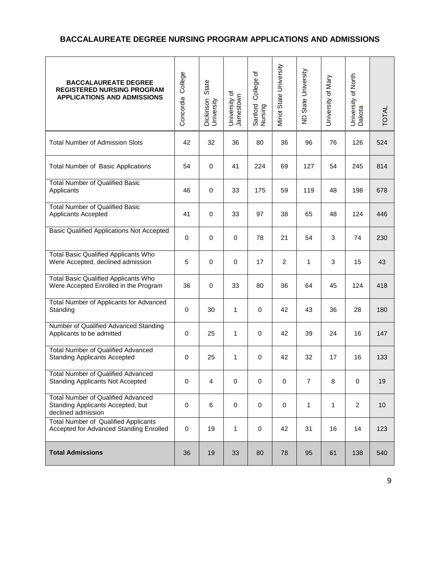### **BACCALAUREATE DEGREE NURSING PROGRAM APPLICATIONS AND ADMISSIONS**

| <b>BACCALAUREATE DEGREE</b><br><b>REGISTERED NURSING PROGRAM</b><br><b>APPLICATIONS AND ADMISSIONS</b> | College<br>Concordia | State<br>Dickinson<br>University | University of<br>Jamestown | College of<br>Sanford<br>Nursing | Minot State University | ND State University | University of Mary | University of North<br>Dakota | <b>TOTAL</b> |
|--------------------------------------------------------------------------------------------------------|----------------------|----------------------------------|----------------------------|----------------------------------|------------------------|---------------------|--------------------|-------------------------------|--------------|
| <b>Total Number of Admission Slots</b>                                                                 | 42                   | 32                               | 36                         | 80                               | 36                     | 96                  | 76                 | 126                           | 524          |
| <b>Total Number of Basic Applications</b>                                                              | 54                   | 0                                | 41                         | 224                              | 69                     | 127                 | 54                 | 245                           | 814          |
| <b>Total Number of Qualified Basic</b><br>Applicants                                                   | 46                   | 0                                | 33                         | 175                              | 59                     | 119                 | 48                 | 198                           | 678          |
| <b>Total Number of Qualified Basic</b><br>Applicants Accepted                                          | 41                   | 0                                | 33                         | 97                               | 38                     | 65                  | 48                 | 124                           | 446          |
| <b>Basic Qualified Applications Not Accepted</b>                                                       | 0                    | 0                                | $\mathbf 0$                | 78                               | 21                     | 54                  | 3                  | 74                            | 230          |
| <b>Total Basic Qualified Applicants Who</b><br>Were Accepted, declined admission                       | 5                    | 0                                | $\mathbf 0$                | 17                               | $\overline{2}$         | 1                   | 3                  | 15                            | 43           |
| <b>Total Basic Qualified Applicants Who</b><br>Were Accepted Enrolled in the Program                   | 36                   | 0                                | 33                         | 80                               | 36                     | 64                  | 45                 | 124                           | 418          |
| Total Number of Applicants for Advanced<br>Standing                                                    | $\mathbf 0$          | 30                               | $\mathbf{1}$               | $\mathbf 0$                      | 42                     | 43                  | 36                 | 28                            | 180          |
| Number of Qualified Advanced Standing<br>Applicants to be admitted                                     | $\mathbf 0$          | 25                               | $\mathbf{1}$               | $\mathbf 0$                      | 42                     | 39                  | 24                 | 16                            | 147          |
| <b>Total Number of Qualified Advanced</b><br><b>Standing Applicants Accepted</b>                       | 0                    | 25                               | 1                          | 0                                | 42                     | 32                  | 17                 | 16                            | 133          |
| <b>Total Number of Qualified Advanced</b><br><b>Standing Applicants Not Accepted</b>                   | 0                    | 4                                | $\pmb{0}$                  | 0                                | $\pmb{0}$              | $\overline{7}$      | 8                  | $\mathbf 0$                   | 19           |
| <b>Total Number of Qualified Advanced</b><br>Standing Applicants Accepted, but<br>declined admission   | $\mathbf 0$          | 6                                | $\mathbf 0$                | 0                                | $\mathbf 0$            | 1                   | 1                  | $\overline{2}$                | 10           |
| Total Number of Qualified Applicants<br>Accepted for Advanced Standing Enrolled                        | $\pmb{0}$            | 19                               | $\mathbf{1}$               | $\mathbf 0$                      | 42                     | 31                  | 16                 | 14                            | 123          |
| <b>Total Admissions</b>                                                                                | 36                   | 19                               | 33                         | 80                               | 78                     | 95                  | 61                 | 138                           | 540          |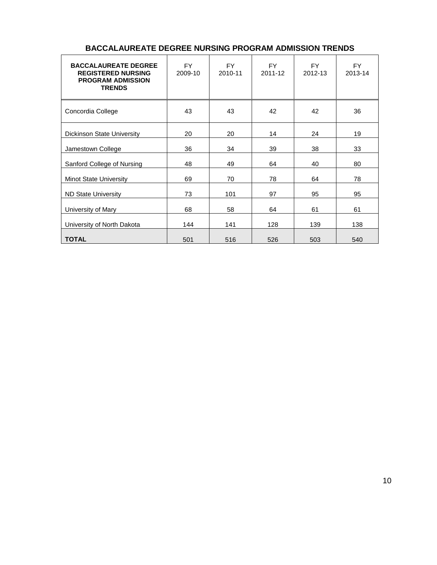| <b>BACCALAUREATE DEGREE</b><br><b>REGISTERED NURSING</b><br><b>PROGRAM ADMISSION</b><br><b>TRENDS</b> | <b>FY</b><br>2009-10 | <b>FY</b><br>2010-11 | <b>FY</b><br>2011-12 | <b>FY</b><br>2012-13 | <b>FY</b><br>2013-14 |
|-------------------------------------------------------------------------------------------------------|----------------------|----------------------|----------------------|----------------------|----------------------|
| Concordia College                                                                                     | 43                   | 43                   | 42                   | 42                   | 36                   |
| <b>Dickinson State University</b>                                                                     | 20                   | 20                   | 14                   | 24                   | 19                   |
| Jamestown College                                                                                     | 36                   | 34                   | 39                   | 38                   | 33                   |
| Sanford College of Nursing                                                                            | 48                   | 49                   | 64                   | 40                   | 80                   |
| <b>Minot State University</b>                                                                         | 69                   | 70                   | 78                   | 64                   | 78                   |
| <b>ND State University</b>                                                                            | 73                   | 101                  | 97                   | 95                   | 95                   |
| University of Mary                                                                                    | 68                   | 58                   | 64                   | 61                   | 61                   |
| University of North Dakota                                                                            | 144                  | 141                  | 128                  | 139                  | 138                  |
| <b>TOTAL</b>                                                                                          | 501                  | 516                  | 526                  | 503                  | 540                  |

### **BACCALAUREATE DEGREE NURSING PROGRAM ADMISSION TRENDS**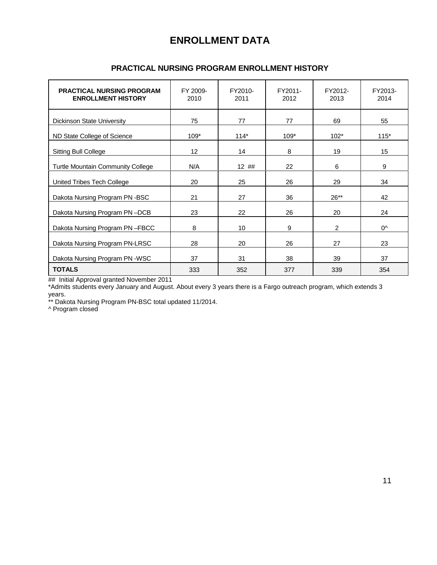### **ENROLLMENT DATA**

| <b>PRACTICAL NURSING PROGRAM</b><br><b>ENROLLMENT HISTORY</b> | FY 2009-<br>2010 | FY2010-<br>2011 | FY2011-<br>2012 | FY2012-<br>2013 | FY2013-<br>2014 |
|---------------------------------------------------------------|------------------|-----------------|-----------------|-----------------|-----------------|
| <b>Dickinson State University</b>                             | 75               | 77              | 77              | 69              | 55              |
| ND State College of Science                                   | $109*$           | $114*$          | $109*$          | $102*$          | $115*$          |
| <b>Sitting Bull College</b>                                   | 12               | 14              | 8               | 19              | 15              |
| Turtle Mountain Community College                             | N/A              | 12 ##           | 22              | 6               | 9               |
| United Tribes Tech College                                    | 20               | 25              | 26              | 29              | 34              |
| Dakota Nursing Program PN -BSC                                | 21               | 27              | 36              | $26**$          | 42              |
| Dakota Nursing Program PN-DCB                                 | 23               | 22              | 26              | 20              | 24              |
| Dakota Nursing Program PN-FBCC                                | 8                | 10              | 9               | $\overline{2}$  | 0^              |
| Dakota Nursing Program PN-LRSC                                | 28               | 20              | 26              | 27              | 23              |
| Dakota Nursing Program PN -WSC                                | 37               | 31              | 38              | 39              | 37              |
| <b>TOTALS</b>                                                 | 333              | 352             | 377             | 339             | 354             |

### **PRACTICAL NURSING PROGRAM ENROLLMENT HISTORY**

## Initial Approval granted November 2011

\*Admits students every January and August. About every 3 years there is a Fargo outreach program, which extends 3 years.

\*\* Dakota Nursing Program PN-BSC total updated 11/2014.

^ Program closed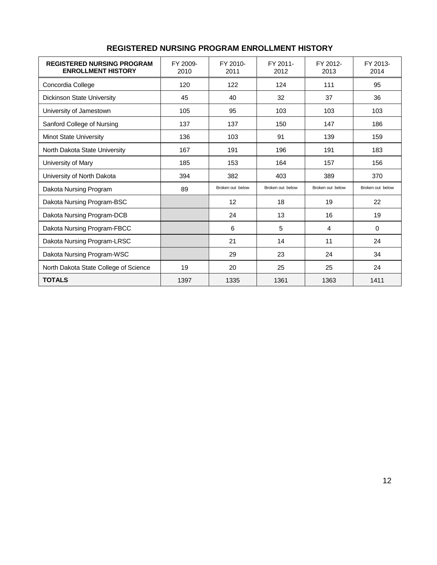| <b>REGISTERED NURSING PROGRAM</b><br><b>ENROLLMENT HISTORY</b> | FY 2009-<br>2010 | FY 2010-<br>2011 | FY 2011-<br>2012 | FY 2012-<br>2013 | FY 2013-<br>2014 |
|----------------------------------------------------------------|------------------|------------------|------------------|------------------|------------------|
| Concordia College                                              | 120              | 122              | 124              | 111              | 95               |
| <b>Dickinson State University</b>                              | 45               | 40               | 32               | 37               | 36               |
| University of Jamestown                                        | 105              | 95               | 103              | 103              | 103              |
| Sanford College of Nursing                                     | 137              | 137              | 150              | 147              | 186              |
| <b>Minot State University</b>                                  | 136              | 103              | 91               | 139              | 159              |
| North Dakota State University                                  | 167              | 191              | 196              | 191              | 183              |
| University of Mary                                             | 185              | 153              | 164              | 157              | 156              |
| University of North Dakota                                     | 394              | 382              | 403              | 389              | 370              |
| Dakota Nursing Program                                         | 89               | Broken out below | Broken out below | Broken out below | Broken out below |
| Dakota Nursing Program-BSC                                     |                  | 12               | 18               | 19               | 22               |
| Dakota Nursing Program-DCB                                     |                  | 24               | 13               | 16               | 19               |
| Dakota Nursing Program-FBCC                                    |                  | 6                | 5                | 4                | 0                |
| Dakota Nursing Program-LRSC                                    |                  | 21               | 14               | 11               | 24               |
| Dakota Nursing Program-WSC                                     |                  | 29               | 23               | 24               | 34               |
| North Dakota State College of Science                          | 19               | 20               | 25               | 25               | 24               |
| <b>TOTALS</b>                                                  | 1397             | 1335             | 1361             | 1363             | 1411             |

### **REGISTERED NURSING PROGRAM ENROLLMENT HISTORY**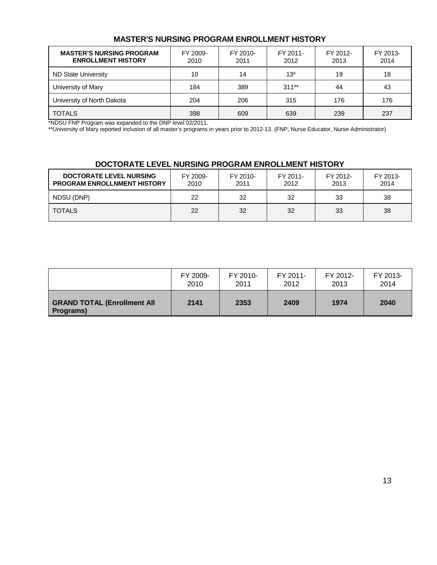### **MASTER'S NURSING PROGRAM ENROLLMENT HISTORY**

| <b>MASTER'S NURSING PROGRAM</b><br><b>ENROLLMENT HISTORY</b> | FY 2009-<br>2010 | FY 2010-<br>2011 | FY 2011-<br>2012 | FY 2012-<br>2013 | FY 2013-<br>2014 |
|--------------------------------------------------------------|------------------|------------------|------------------|------------------|------------------|
| <b>ND State University</b>                                   | 10               | 14               | $13*$            | 19               | 18               |
| University of Mary                                           | 184              | 389              | $311**$          | 44               | 43               |
| University of North Dakota                                   | 204              | 206              | 315              | 176              | 176              |
| <b>TOTALS</b>                                                | 398              | 609              | 639              | 239              | 237              |

\*NDSU FNP Program was expanded to the DNP level 02/2011.

\*\*University of Mary reported inclusion of all master's programs in years prior to 2012-13. (FNP, Nurse Educator, Nurse Administrator)

### **DOCTORATE LEVEL NURSING PROGRAM ENROLLMENT HISTORY**

| <b>DOCTORATE LEVEL NURSING</b><br><b>PROGRAM ENROLLNMENT HISTORY</b> | FY 2009-<br>2010 | FY 2010-<br>2011 | FY 2011-<br>2012 | FY 2012-<br>2013 | FY 2013-<br>2014 |
|----------------------------------------------------------------------|------------------|------------------|------------------|------------------|------------------|
| NDSU (DNP)                                                           | 22               | 32               | 32               | 33               | 38               |
| <b>TOTALS</b>                                                        | 22               | 32               | 32               | 33               | 38               |

|                                                         | FY 2009- | FY 2010- | FY 2011- | FY 2012- | FY 2013- |
|---------------------------------------------------------|----------|----------|----------|----------|----------|
|                                                         | 2010     | 2011     | 2012     | 2013     | 2014     |
| <b>GRAND TOTAL (Enrollment All</b><br><b>Programs</b> ) | 2141     | 2353     | 2409     | 1974     | 2040     |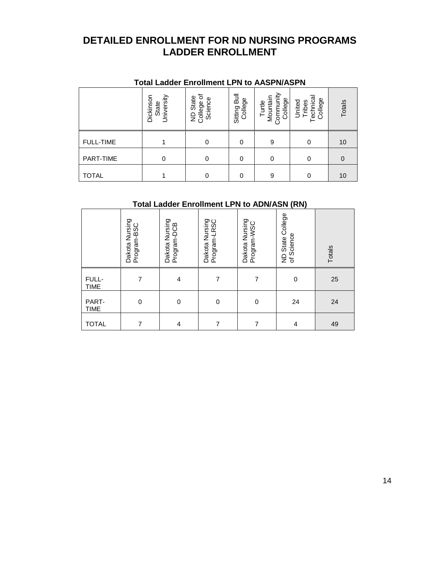### **DETAILED ENROLLMENT FOR ND NURSING PROGRAMS LADDER ENROLLMENT**

|                  | TOtal Lauder Enforment LPN to AASPN/ASPN |                                                |                         |                                            |                                        |          |
|------------------|------------------------------------------|------------------------------------------------|-------------------------|--------------------------------------------|----------------------------------------|----------|
|                  | University<br>Dickinson<br>State         | ৳<br>State<br>Science<br>College<br>$\epsilon$ | Sitting Bull<br>College | Turtle<br>Mountain<br>Community<br>College | echnica<br>College<br>United<br>Tribes | Totals   |
| <b>FULL-TIME</b> |                                          | 0                                              | 0                       | 9                                          |                                        | 10       |
| PART-TIME        | $\Omega$                                 | 0                                              | 0                       | 0                                          | 0                                      | $\Omega$ |
| TOTAL            |                                          | 0                                              | 0                       | 9                                          | $\Omega$                               | 10       |

### **Total Ladder Enrollment LPN to AASPN/ASPN**

## **Total Ladder Enrollment LPN to ADN/ASN (RN)**

|                      | Dakota Nursing<br>Program-BSC | Dakota Nursing<br>Program-DCB | Dakota Nursing<br>Program-LRSC | Dakota Nursing<br>Program-WSC | ND State College<br>of Science | Totals |
|----------------------|-------------------------------|-------------------------------|--------------------------------|-------------------------------|--------------------------------|--------|
| FULL-<br><b>TIME</b> |                               | 4                             | 7                              |                               | $\mathbf 0$                    | 25     |
| PART-<br><b>TIME</b> | 0                             | $\mathbf 0$                   | 0                              | 0                             | 24                             | 24     |
| <b>TOTAL</b>         | 7                             | 4                             | 7                              | 7                             | 4                              | 49     |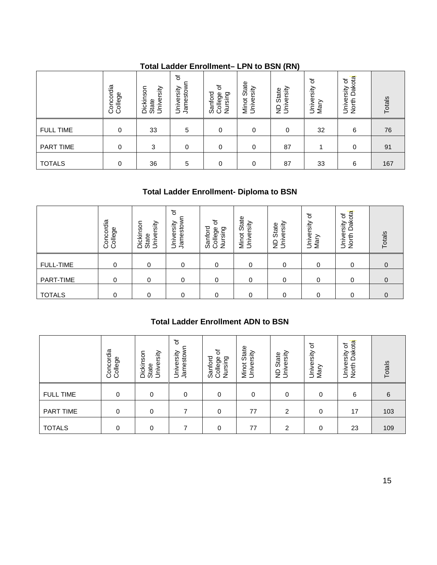### **Total Ladder Enrollment– LPN to BSN (RN)**

|                  | Concordia<br>College | University<br>Dickinson<br>State | $\overline{\sigma}$<br>Jamestown<br>University | 'ত<br>Sanford<br>Nursing<br>College | State<br>Minot Stat<br>University | ND State<br>University | ৳<br>University<br>Mary | ota<br>৳<br>University<br>Dak<br>North | Totals |
|------------------|----------------------|----------------------------------|------------------------------------------------|-------------------------------------|-----------------------------------|------------------------|-------------------------|----------------------------------------|--------|
| <b>FULL TIME</b> | 0                    | 33                               | 5                                              | 0                                   | 0                                 | 0                      | 32                      | 6                                      | 76     |
| PART TIME        | 0                    | 3                                | $\mathbf 0$                                    | 0                                   | 0                                 | 87                     |                         | 0                                      | 91     |
| <b>TOTALS</b>    | 0                    | 36                               | 5                                              | 0                                   | 0                                 | 87                     | 33                      | 6                                      | 167    |

### **Total Ladder Enrollment- Diploma to BSN**

|                  | Concordia<br>College | University<br>Dickinson<br>State | ৳<br>Jamestow<br>University | 'ত<br>nford<br>Nursing<br>abello:<br>ශී<br>$\circ$ | State<br>rsity<br>Univer<br>Minot | versity<br>State<br>Ē<br>$\overline{z}$ | ৳<br>University<br>Mary | Dakota<br>৳<br>rsity<br>Univer<br>North | Totals |
|------------------|----------------------|----------------------------------|-----------------------------|----------------------------------------------------|-----------------------------------|-----------------------------------------|-------------------------|-----------------------------------------|--------|
| <b>FULL-TIME</b> | 0                    | 0                                | 0                           | 0                                                  | 0                                 | 0                                       | 0                       | 0                                       | 0      |
| PART-TIME        | 0                    | 0                                | 0                           | 0                                                  | 0                                 | 0                                       | 0                       | 0                                       | 0      |
| <b>TOTALS</b>    | 0                    | 0                                | 0                           | 0                                                  | 0                                 | 0                                       | 0                       | 0                                       | 0      |

### **Total Ladder Enrollment ADN to BSN**

|                  | Concordia<br>College | Dickinson<br>University<br>State | đ<br>Jamestown<br>University         | College of<br>Sanford<br>Nursing          | Minot State<br>University | University<br>ND State | University of<br>Mary | North Dakota<br>University of | Totals    |
|------------------|----------------------|----------------------------------|--------------------------------------|-------------------------------------------|---------------------------|------------------------|-----------------------|-------------------------------|-----------|
| <b>FULL-TIME</b> | $\mathbf 0$          | $\mathbf 0$                      | $\mathbf 0$                          | 0                                         | $\mathbf 0$               | $\mathbf 0$            | $\mathbf 0$           | $\mathbf 0$                   | $\pmb{0}$ |
| PART-TIME        | $\pmb{0}$            | $\pmb{0}$                        | $\mathbf 0$                          | 0                                         | 0                         | $\mathbf 0$            | $\mathbf 0$           | $\pmb{0}$                     | 0         |
| <b>TOTALS</b>    | $\pmb{0}$            | $\pmb{0}$                        | $\mathbf 0$                          | $\pmb{0}$                                 | 0                         | 0                      | $\mathbf 0$           | 0                             | $\pmb{0}$ |
|                  |                      |                                  |                                      | <b>Total Ladder Enrollment ADN to BSN</b> |                           |                        |                       |                               |           |
|                  | Concordia<br>College | University<br>Dickinson<br>State | $\vec{o}$<br>Jamestown<br>University | College of<br>Sanford<br>Nursing          | Minot State<br>University | ND State<br>University | University of<br>Mary | North Dakota<br>University of | Totals    |
| <b>FULL TIME</b> | $\mathbf 0$          | $\mathbf 0$                      | $\mathbf 0$                          | $\mathbf 0$                               | $\mathbf 0$               | $\mathbf 0$            | $\mathbf 0$           | 6                             | $\,6\,$   |
| PART TIME        | $\mathbf 0$          | $\pmb{0}$                        | $\overline{7}$                       | $\pmb{0}$                                 | 77                        | $\overline{c}$         | $\mathbf 0$           | 17                            | 103       |
| <b>TOTALS</b>    | $\mathbf 0$          | $\pmb{0}$                        | $\overline{7}$                       | $\pmb{0}$                                 | 77                        | $\boldsymbol{2}$       | $\boldsymbol{0}$      | 23                            | 109       |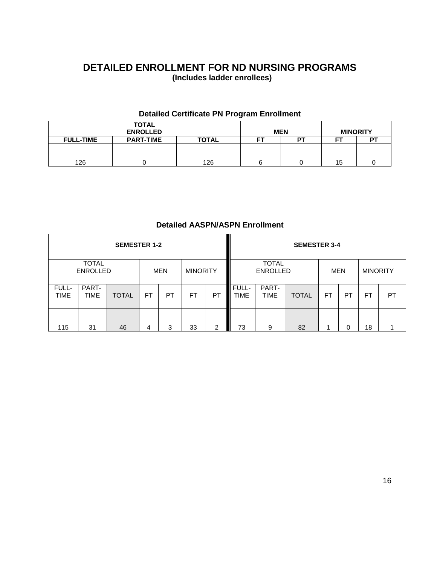### **DETAILED ENROLLMENT FOR ND NURSING PROGRAMS (Includes ladder enrollees)**

### **Detailed Certificate PN Program Enrollment**

|                  | <b>TOTAL</b><br><b>ENROLLED</b> |              | <b>MEN</b> |    | <b>MINORITY</b> |    |
|------------------|---------------------------------|--------------|------------|----|-----------------|----|
| <b>FULL-TIME</b> | <b>PART-TIME</b>                | <b>TOTAL</b> | FТ         | PТ | --              | P1 |
|                  |                                 |              |            |    |                 |    |
|                  |                                 |              |            |    |                 |    |
| 126              |                                 | 126          | n          |    | 15              |    |

### **Detailed AASPN/ASPN Enrollment**

|                      |                                 | <b>SEMESTER 1-2</b> |           |            |                 |               |                      |                                 | <b>SEMESTER 3-4</b> |            |    |                 |    |
|----------------------|---------------------------------|---------------------|-----------|------------|-----------------|---------------|----------------------|---------------------------------|---------------------|------------|----|-----------------|----|
|                      | <b>TOTAL</b><br><b>ENROLLED</b> |                     |           | <b>MEN</b> | <b>MINORITY</b> |               |                      | <b>TOTAL</b><br><b>ENROLLED</b> |                     | <b>MEN</b> |    | <b>MINORITY</b> |    |
| FULL-<br><b>TIME</b> | PART-<br><b>TIME</b>            | <b>TOTAL</b>        | <b>FT</b> | PT         | FT              | PT            | FULL-<br><b>TIME</b> | PART-<br><b>TIME</b>            | <b>TOTAL</b>        | FT         | PT | FT              | PT |
| 115                  | 31                              | 46                  | 4         | 3          | 33              | $\mathcal{P}$ | 73                   | 9                               | 82                  |            | 0  | 18              |    |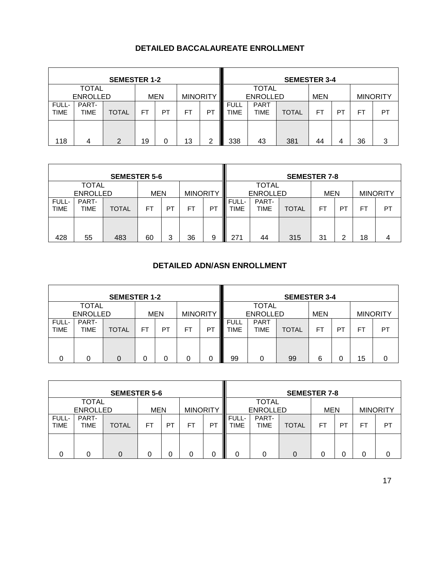### **DETAILED BACCALAUREATE ENROLLMENT**

|                      |                 | <b>SEMESTER 1-2</b> |    |     |                 |    |                     |                     | <b>SEMESTER 3-4</b> |            |    |     |                 |
|----------------------|-----------------|---------------------|----|-----|-----------------|----|---------------------|---------------------|---------------------|------------|----|-----|-----------------|
| <b>TOTAL</b>         |                 |                     |    |     |                 |    |                     | <b>TOTAL</b>        |                     |            |    |     |                 |
|                      | <b>ENROLLED</b> |                     |    | MEN | <b>MINORITY</b> |    |                     | <b>ENROLLED</b>     |                     | <b>MEN</b> |    |     | <b>MINORITY</b> |
| FULL-<br><b>TIME</b> | PART-<br>TIME   | <b>TOTAL</b>        | FT | PТ  | FT              | P1 | <b>FULL</b><br>TIME | <b>PART</b><br>TIME | <b>TOTAL</b>        | FT         | PT | FT. | PT              |
| 118                  | 4               | າ                   | 19 |     | 13              | ົ  | 338                 | 43                  | 381                 | 44         | 4  | 36  | 3               |

|                                                                  |               | <b>SEMESTER 5-6</b> |           |           |    |         | <b>SEMESTER 7-8</b>  |                                               |              |    |    |                 |    |
|------------------------------------------------------------------|---------------|---------------------|-----------|-----------|----|---------|----------------------|-----------------------------------------------|--------------|----|----|-----------------|----|
| <b>TOTAL</b><br><b>MINORITY</b><br><b>ENROLLED</b><br><b>MEN</b> |               |                     |           |           |    |         |                      | <b>TOTAL</b><br><b>ENROLLED</b><br><b>MEN</b> |              |    |    | <b>MINORITY</b> |    |
| FULL-<br><b>TIME</b>                                             | PART-<br>TIME | <b>TOTAL</b>        | <b>FT</b> | <b>PT</b> | FT | PT<br>L | FULL-<br><b>TIME</b> | PART-<br>TIME                                 | <b>TOTAL</b> | FT | PT | <b>FT</b>       | PT |
| 428                                                              | 55            | 483                 | 60        | 3         | 36 | Γ<br>9  | 271                  | 44                                            | 315          | 31 | 2  | 18              | 4  |

### **DETAILED ADN/ASN ENROLLMENT**

|                      |                 | <b>SEMESTER 1-2</b> |    |            |                 |                |                     |                     | <b>SEMESTER 3-4</b> |            |    |     |                 |
|----------------------|-----------------|---------------------|----|------------|-----------------|----------------|---------------------|---------------------|---------------------|------------|----|-----|-----------------|
|                      | <b>TOTAL</b>    |                     |    |            |                 |                |                     | <b>TOTAL</b>        |                     |            |    |     |                 |
|                      | <b>ENROLLED</b> |                     |    | <b>MEN</b> | <b>MINORITY</b> |                |                     | <b>ENROLLED</b>     |                     | <b>MEN</b> |    |     | <b>MINORITY</b> |
| FULL-<br><b>TIME</b> | PART-<br>TIME   | <b>TOTAL</b>        | FT | PT         | FT              | P <sub>1</sub> | <b>FULL</b><br>TIME | <b>PART</b><br>TIME | <b>TOTAL</b>        | FT.        | PT | FT. | PT              |
| O                    | 0               |                     | 0  | 0          |                 | 0              | 99<br>Ш             | 0                   | 99                  | 6          | 0  | 15  |                 |

|                                                                  |                      | <b>SEMESTER 5-6</b> |    |           |    | <b>SEMESTER 7-8</b> |               |                                 |              |            |    |    |                 |  |
|------------------------------------------------------------------|----------------------|---------------------|----|-----------|----|---------------------|---------------|---------------------------------|--------------|------------|----|----|-----------------|--|
| <b>TOTAL</b><br><b>MINORITY</b><br><b>ENROLLED</b><br><b>MEN</b> |                      |                     |    |           |    |                     |               | <b>TOTAL</b><br><b>ENROLLED</b> |              | <b>MEN</b> |    |    | <b>MINORITY</b> |  |
| FULL-<br><b>TIME</b>                                             | PART-<br><b>TIME</b> | <b>TOTAL</b>        | FT | <b>PT</b> | FΤ | P1                  | FULL-<br>TIME | PART-<br><b>TIME</b>            | <b>TOTAL</b> | FT         | P1 | F1 | PT              |  |
|                                                                  | 0                    |                     |    |           | 0  |                     |               |                                 | 0            |            |    |    |                 |  |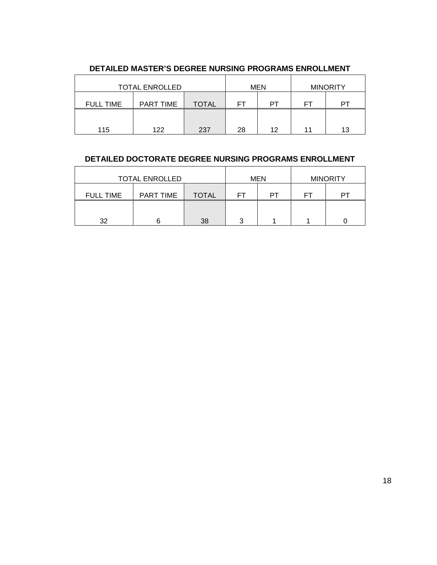|                  | <b>TOTAL ENROLLED</b> |              |          | <b>MEN</b> | <b>MINORITY</b> |    |  |
|------------------|-----------------------|--------------|----------|------------|-----------------|----|--|
| <b>FULL TIME</b> | PART TIME             | <b>TOTAL</b> | FТ<br>DТ |            | FТ              | DТ |  |
|                  |                       |              |          |            |                 |    |  |
| 115              | 122                   | 237          | 28       | 12         | 11              | 13 |  |

### **DETAILED MASTER'S DEGREE NURSING PROGRAMS ENROLLMENT**

### **DETAILED DOCTORATE DEGREE NURSING PROGRAMS ENROLLMENT**

|                  | <b>TOTAL ENROLLED</b> |              |          | <b>MEN</b> | <b>MINORITY</b> |    |  |
|------------------|-----------------------|--------------|----------|------------|-----------------|----|--|
| <b>FULL TIME</b> | <b>PART TIME</b>      | <b>TOTAL</b> | PТ<br>ΗI |            | FT              | DТ |  |
|                  |                       |              |          |            |                 |    |  |
| 32               |                       | 38           | っ        |            |                 |    |  |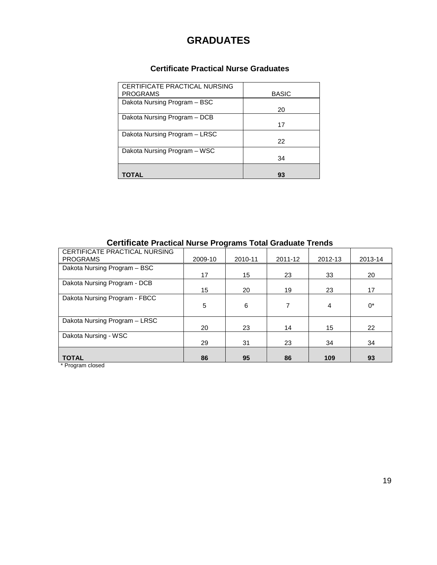### **GRADUATES**

### **Certificate Practical Nurse Graduates**

| CERTIFICATE PRACTICAL NURSING<br><b>PROGRAMS</b> | <b>BASIC</b> |
|--------------------------------------------------|--------------|
| Dakota Nursing Program - BSC                     | 20           |
| Dakota Nursing Program - DCB                     |              |
|                                                  | 17           |
| Dakota Nursing Program - LRSC                    |              |
|                                                  | 22           |
| Dakota Nursing Program - WSC                     |              |
|                                                  | 34           |
|                                                  |              |
| TOTAL                                            | 93           |

### **Certificate Practical Nurse Programs Total Graduate Trends**

| CERTIFICATE PRACTICAL NURSING |         |         |         |         |         |
|-------------------------------|---------|---------|---------|---------|---------|
| <b>PROGRAMS</b>               | 2009-10 | 2010-11 | 2011-12 | 2012-13 | 2013-14 |
| Dakota Nursing Program - BSC  |         |         |         |         |         |
|                               | 17      | 15      | 23      | 33      | 20      |
| Dakota Nursing Program - DCB  |         |         |         |         |         |
|                               | 15      | 20      | 19      | 23      | 17      |
| Dakota Nursing Program - FBCC |         |         |         |         |         |
|                               | 5       | 6       |         | 4       | $0^*$   |
|                               |         |         |         |         |         |
| Dakota Nursing Program - LRSC |         |         |         |         |         |
|                               | 20      | 23      | 14      | 15      | 22      |
| Dakota Nursing - WSC          |         |         |         |         |         |
|                               | 29      | 31      | 23      | 34      | 34      |
|                               |         |         |         |         |         |
| <b>TOTAL</b>                  | 86      | 95      | 86      | 109     | 93      |

\* Program closed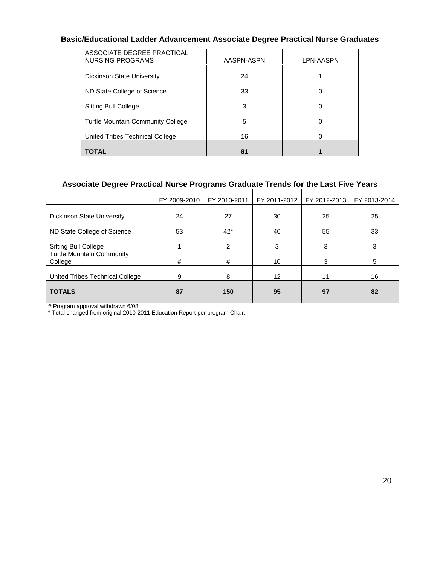### **Basic/Educational Ladder Advancement Associate Degree Practical Nurse Graduates**

| ASSOCIATE DEGREE PRACTICAL<br><b>NURSING PROGRAMS</b> | AASPN-ASPN | LPN-AASPN |
|-------------------------------------------------------|------------|-----------|
| <b>Dickinson State University</b>                     | 24         |           |
| ND State College of Science                           | 33         |           |
| Sitting Bull College                                  | 3          |           |
| <b>Turtle Mountain Community College</b>              | 5          |           |
| United Tribes Technical College                       | 16         |           |
| <b>TOTAL</b>                                          | 81         |           |

### **Associate Degree Practical Nurse Programs Graduate Trends for the Last Five Years**

|                                             | FY 2009-2010 | FY 2010-2011 | FY 2011-2012 | FY 2012-2013 | FY 2013-2014 |
|---------------------------------------------|--------------|--------------|--------------|--------------|--------------|
| <b>Dickinson State University</b>           | 24           | 27           | 30           | 25           | 25           |
| ND State College of Science                 | 53           | $42*$        | 40           | 55           | 33           |
| Sitting Bull College                        |              | 2            | 3            | 3            | 3            |
| <b>Turtle Mountain Community</b><br>College | #            | #            | 10           | 3            | 5            |
| United Tribes Technical College             | 9            | 8            | 12           | 11           | 16           |
| <b>TOTALS</b>                               | 87           | 150          | 95           | 97           | 82           |
|                                             |              |              |              |              |              |

# Program approval withdrawn 6/08

\* Total changed from original 2010-2011 Education Report per program Chair.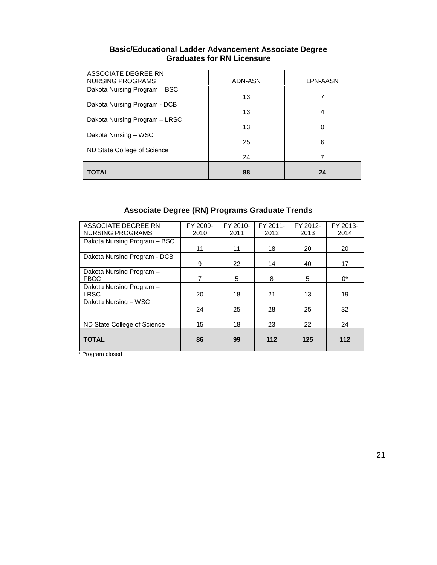### **Basic/Educational Ladder Advancement Associate Degree Graduates for RN Licensure**

| ASSOCIATE DEGREE RN           |         |          |
|-------------------------------|---------|----------|
| <b>NURSING PROGRAMS</b>       | ADN-ASN | LPN-AASN |
| Dakota Nursing Program - BSC  |         |          |
|                               | 13      |          |
| Dakota Nursing Program - DCB  |         |          |
|                               | 13      | 4        |
| Dakota Nursing Program - LRSC |         |          |
|                               | 13      |          |
| Dakota Nursing - WSC          |         |          |
|                               | 25      | 6        |
| ND State College of Science   |         |          |
|                               | 24      |          |
|                               |         |          |
| TOTAL                         | 88      | 24       |

### **Associate Degree (RN) Programs Graduate Trends**

| ASSOCIATE DEGREE RN          | FY 2009- | FY 2010- | FY 2011- | FY 2012- | FY 2013- |
|------------------------------|----------|----------|----------|----------|----------|
| NURSING PROGRAMS             | 2010     | 2011     | 2012     | 2013     | 2014     |
| Dakota Nursing Program - BSC |          |          |          |          |          |
|                              | 11       | 11       | 18       | 20       | 20       |
| Dakota Nursing Program - DCB |          |          |          |          |          |
|                              | 9        | 22       | 14       | 40       | 17       |
| Dakota Nursing Program -     |          |          |          |          |          |
| <b>FBCC</b>                  | 7        | 5        | 8        | 5        | $0^*$    |
| Dakota Nursing Program -     |          |          |          |          |          |
| <b>LRSC</b>                  | 20       | 18       | 21       | 13       | 19       |
| Dakota Nursing - WSC         |          |          |          |          |          |
|                              | 24       | 25       | 28       | 25       | 32       |
|                              |          |          |          |          |          |
| ND State College of Science  | 15       | 18       | 23       | 22       | 24       |
|                              |          |          |          |          |          |
| <b>TOTAL</b>                 | 86       | 99       | $112$    | 125      | 112      |
|                              |          |          |          |          |          |

\* Program closed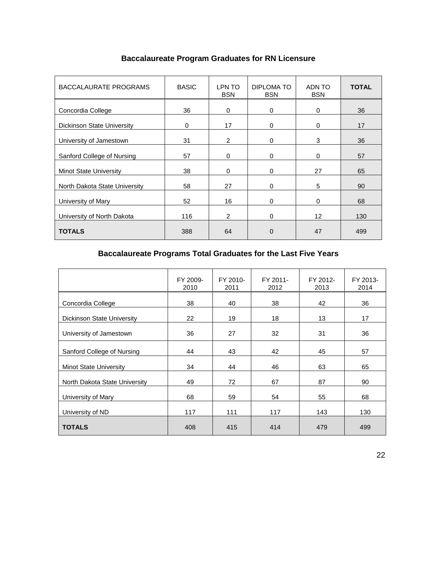| <b>BACCALAURATE PROGRAMS</b>      | <b>BASIC</b> | LPN TO<br><b>BSN</b> | DIPLOMA TO<br><b>BSN</b> | ADN TO<br><b>BSN</b> | <b>TOTAL</b> |
|-----------------------------------|--------------|----------------------|--------------------------|----------------------|--------------|
| Concordia College                 | 36           | $\Omega$             | 0                        | $\mathbf 0$          | 36           |
| <b>Dickinson State University</b> | 0            | 17                   | $\Omega$                 | $\mathbf 0$          | 17           |
| University of Jamestown           | 31           | 2                    | 0                        | 3                    | 36           |
| Sanford College of Nursing        | 57           | $\Omega$             | 0                        | $\mathbf 0$          | 57           |
| <b>Minot State University</b>     | 38           | $\Omega$             | $\Omega$                 | 27                   | 65           |
| North Dakota State University     | 58           | 27                   | $\Omega$                 | 5                    | 90           |
| University of Mary                | 52           | 16                   | $\Omega$                 | $\mathbf 0$          | 68           |
| University of North Dakota        | 116          | $\overline{2}$       | 0                        | $12 \overline{ }$    | 130          |
| <b>TOTALS</b>                     | 388          | 64                   | $\Omega$                 | 47                   | 499          |

### **Baccalaureate Program Graduates for RN Licensure**

### **Baccalaureate Programs Total Graduates for the Last Five Years**

|                               | FY 2009-<br>2010 | FY 2010-<br>2011 | FY 2011-<br>2012 | FY 2012-<br>2013 | FY 2013-<br>2014 |
|-------------------------------|------------------|------------------|------------------|------------------|------------------|
| Concordia College             | 38               | 40               | 38               | 42               | 36               |
| Dickinson State University    | 22               | 19               | 18               | 13               | 17               |
| University of Jamestown       | 36               | 27               | 32               | 31               | 36               |
| Sanford College of Nursing    | 44               | 43               | 42               | 45               | 57               |
| <b>Minot State University</b> | 34               | 44               | 46               | 63               | 65               |
| North Dakota State University | 49               | 72               | 67               | 87               | 90               |
| University of Mary            | 68               | 59               | 54               | 55               | 68               |
| University of ND              | 117              | 111              | 117              | 143              | 130              |
| <b>TOTALS</b>                 | 408              | 415              | 414              | 479              | 499              |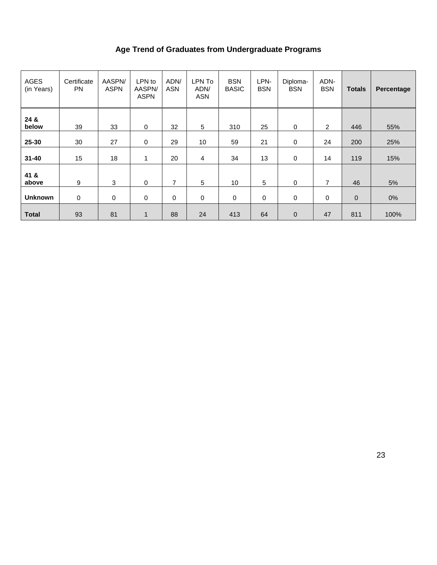### **Age Trend of Graduates from Undergraduate Programs**

| <b>AGES</b><br>(in Years) | Certificate<br><b>PN</b> | AASPN/<br><b>ASPN</b> | LPN to<br>AASPN/<br><b>ASPN</b> | ADN/<br><b>ASN</b> | LPN To<br>ADN/<br><b>ASN</b> | <b>BSN</b><br><b>BASIC</b> | LPN-<br><b>BSN</b> | Diploma-<br><b>BSN</b> | ADN-<br><b>BSN</b> | <b>Totals</b> | Percentage |
|---------------------------|--------------------------|-----------------------|---------------------------------|--------------------|------------------------------|----------------------------|--------------------|------------------------|--------------------|---------------|------------|
| 24 &<br>below             | 39                       | 33                    | 0                               | 32                 | $\sqrt{5}$                   | 310                        | 25                 | 0                      | $\overline{2}$     | 446           | 55%        |
| 25-30                     | 30                       | 27                    | 0                               | 29                 | 10                           | 59                         | 21                 | 0                      | 24                 | 200           | 25%        |
| $31 - 40$                 | 15                       | 18                    | 1                               | 20                 | 4                            | 34                         | 13                 | 0                      | 14                 | 119           | 15%        |
| 41 &<br>above             | 9                        | 3                     | $\mathbf 0$                     | 7                  | 5                            | 10                         | 5                  | $\Omega$               | 7                  | 46            | 5%         |
| <b>Unknown</b>            | 0                        | 0                     | $\mathbf 0$                     | $\mathbf 0$        | $\mathbf 0$                  | $\pmb{0}$                  | 0                  | 0                      | 0                  | $\mathbf 0$   | 0%         |
| <b>Total</b>              | 93                       | 81                    | $\mathbf{1}$                    | 88                 | 24                           | 413                        | 64                 | $\mathbf 0$            | 47                 | 811           | 100%       |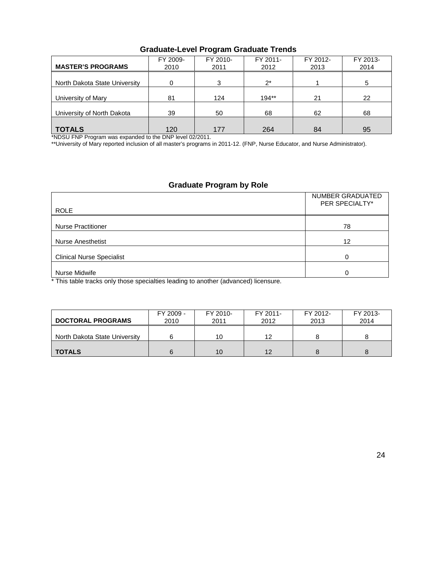| <b>MASTER'S PROGRAMS</b>      | FY 2009-<br>2010 | FY 2010-<br>2011 | FY 2011-<br>2012 | FY 2012-<br>2013 | FY 2013-<br>2014 |
|-------------------------------|------------------|------------------|------------------|------------------|------------------|
| North Dakota State University | 0                | 3                | $2^*$            |                  |                  |
| University of Mary            | 81               | 124              | $194**$          | 21               | 22               |
| University of North Dakota    | 39               | 50               | 68               | 62               | 68               |
| <b>TOTALS</b>                 | 120              | 177              | 264              | 84               | 95               |

### **Graduate-Level Program Graduate Trends**

\*NDSU FNP Program was expanded to the DNP level 02/2011.

\*\*University of Mary reported inclusion of all master's programs in 2011-12. (FNP, Nurse Educator, and Nurse Administrator).

### **Graduate Program by Role**

| <b>ROLE</b>                      | NUMBER GRADUATED<br>PER SPECIALTY* |
|----------------------------------|------------------------------------|
| <b>Nurse Practitioner</b>        | 78                                 |
| <b>Nurse Anesthetist</b>         | 12                                 |
| <b>Clinical Nurse Specialist</b> | 0                                  |
| Nurse Midwife                    | 0                                  |

\* This table tracks only those specialties leading to another (advanced) licensure.

| <b>DOCTORAL PROGRAMS</b>      | FY 2009 -<br>2010 | FY 2010-<br>2011 | FY 2011-<br>2012 | FY 2012-<br>2013 | FY 2013-<br>2014 |
|-------------------------------|-------------------|------------------|------------------|------------------|------------------|
| North Dakota State University |                   | 10               | 12               |                  |                  |
| <b>TOTALS</b>                 | 6                 | 10               | 12               |                  |                  |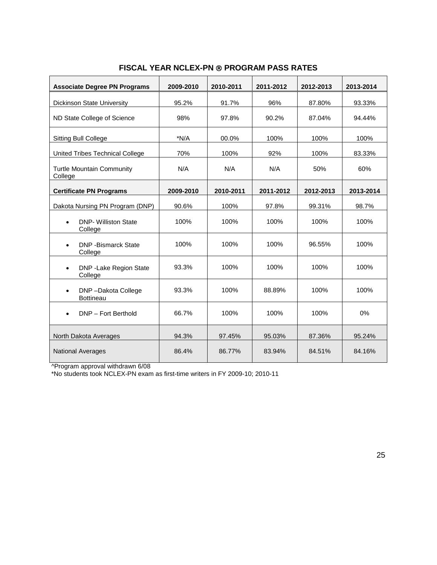| <b>Associate Degree PN Programs</b>                 | 2009-2010 | 2010-2011 | 2011-2012 | 2012-2013 | 2013-2014 |
|-----------------------------------------------------|-----------|-----------|-----------|-----------|-----------|
| Dickinson State University                          | 95.2%     | 91.7%     | 96%       | 87.80%    | 93.33%    |
| ND State College of Science                         | 98%       | 97.8%     | 90.2%     | 87.04%    | 94.44%    |
| Sitting Bull College                                | $*N/A$    | 00.0%     | 100%      | 100%      | 100%      |
| United Tribes Technical College                     | 70%       | 100%      | 92%       | 100%      | 83.33%    |
| <b>Turtle Mountain Community</b><br>College         | N/A       | N/A       | N/A       | 50%       | 60%       |
| <b>Certificate PN Programs</b>                      | 2009-2010 | 2010-2011 | 2011-2012 | 2012-2013 | 2013-2014 |
| Dakota Nursing PN Program (DNP)                     | 90.6%     | 100%      | 97.8%     | 99.31%    | 98.7%     |
| <b>DNP- Williston State</b><br>$\bullet$<br>College | 100%      | 100%      | 100%      | 100%      | 100%      |
| <b>DNP -Bismarck State</b><br>$\bullet$<br>College  | 100%      | 100%      | 100%      | 96.55%    | 100%      |
| DNP - Lake Region State<br>$\bullet$<br>College     | 93.3%     | 100%      | 100%      | 100%      | 100%      |
| DNP-Dakota College<br>$\bullet$<br><b>Bottineau</b> | 93.3%     | 100%      | 88.89%    | 100%      | 100%      |
| DNP - Fort Berthold<br>$\bullet$                    | 66.7%     | 100%      | 100%      | 100%      | 0%        |
| North Dakota Averages                               | 94.3%     | 97.45%    | 95.03%    | 87.36%    | 95.24%    |
| <b>National Averages</b>                            | 86.4%     | 86.77%    | 83.94%    | 84.51%    | 84.16%    |

### **FISCAL YEAR NCLEX-PN ® PROGRAM PASS RATES**

^Program approval withdrawn 6/08

\*No students took NCLEX-PN exam as first-time writers in FY 2009-10; 2010-11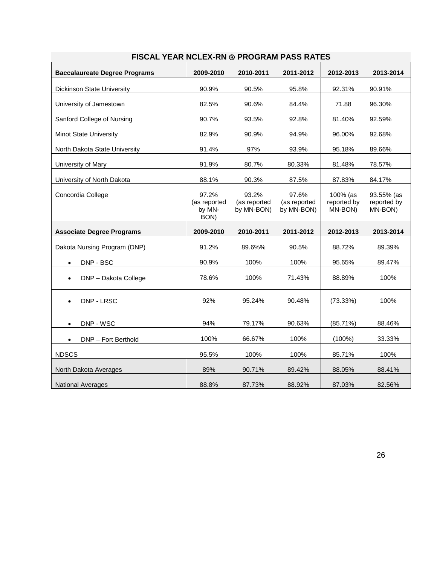| <b>Baccalaureate Degree Programs</b> | 2009-2010                               | 2010-2011                           | 2011-2012                           | 2012-2013                          | 2013-2014                            |
|--------------------------------------|-----------------------------------------|-------------------------------------|-------------------------------------|------------------------------------|--------------------------------------|
| Dickinson State University           | 90.9%                                   | 90.5%                               | 95.8%                               | 92.31%                             | 90.91%                               |
| University of Jamestown              | 82.5%                                   | 90.6%                               | 84.4%                               | 71.88                              | 96.30%                               |
| Sanford College of Nursing           | 90.7%                                   | 93.5%                               | 92.8%                               | 81.40%                             | 92.59%                               |
| <b>Minot State University</b>        | 82.9%                                   | 90.9%                               | 94.9%                               | 96.00%                             | 92.68%                               |
| North Dakota State University        | 91.4%                                   | 97%                                 | 93.9%                               | 95.18%                             | 89.66%                               |
| University of Mary                   | 91.9%                                   | 80.7%                               | 80.33%                              | 81.48%                             | 78.57%                               |
| University of North Dakota           | 88.1%                                   | 90.3%                               | 87.5%                               | 87.83%                             | 84.17%                               |
| Concordia College                    | 97.2%<br>(as reported<br>by MN-<br>BON) | 93.2%<br>(as reported<br>by MN-BON) | 97.6%<br>(as reported<br>by MN-BON) | 100% (as<br>reported by<br>MN-BON) | 93.55% (as<br>reported by<br>MN-BON) |
|                                      |                                         |                                     |                                     |                                    |                                      |
| <b>Associate Degree Programs</b>     | 2009-2010                               | 2010-2011                           | 2011-2012                           | 2012-2013                          | 2013-2014                            |
| Dakota Nursing Program (DNP)         | 91.2%                                   | 89.6%%                              | 90.5%                               | 88.72%                             | 89.39%                               |
| DNP - BSC<br>$\bullet$               | 90.9%                                   | 100%                                | 100%                                | 95.65%                             | 89.47%                               |
| DNP - Dakota College                 | 78.6%                                   | 100%                                | 71.43%                              | 88.89%                             | 100%                                 |
| DNP - LRSC<br>$\bullet$              | 92%                                     | 95.24%                              | 90.48%                              | (73.33%)                           | 100%                                 |
| DNP - WSC                            | 94%                                     | 79.17%                              | 90.63%                              | (85.71%)                           | 88.46%                               |
| DNP - Fort Berthold<br>$\bullet$     | 100%                                    | 66.67%                              | 100%                                | $(100\%)$                          | 33.33%                               |
| <b>NDSCS</b>                         | 95.5%                                   | 100%                                | 100%                                | 85.71%                             | 100%                                 |
| North Dakota Averages                | 89%                                     | 90.71%                              | 89.42%                              | 88.05%                             | 88.41%                               |

### **FISCAL YEAR NCLEX-RN PROGRAM PASS RATES**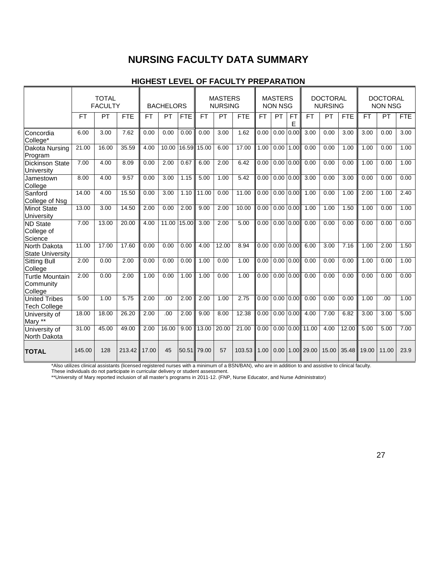### **NURSING FACULTY DATA SUMMARY**

### **HIGHEST LEVEL OF FACULTY PREPARATION**

|                                                |           | <b>TOTAL</b><br><b>FACULTY</b> |            |           | <b>BACHELORS</b> |            |           | <b>MASTERS</b><br><b>NURSING</b> |            |           | <b>MASTERS</b><br><b>NON NSG</b> |                |            | <b>DOCTORAL</b><br><b>NURSING</b> |            |                   | <b>DOCTORAL</b><br><b>NON NSG</b> |            |
|------------------------------------------------|-----------|--------------------------------|------------|-----------|------------------|------------|-----------|----------------------------------|------------|-----------|----------------------------------|----------------|------------|-----------------------------------|------------|-------------------|-----------------------------------|------------|
|                                                | <b>FT</b> | <b>PT</b>                      | <b>FTE</b> | <b>FT</b> | PT               | <b>FTE</b> | <b>FT</b> | PT                               | <b>FTE</b> | <b>FT</b> | PT                               | <b>FT</b><br>E | <b>FT</b>  | PT                                | <b>FTE</b> | <b>FT</b>         | <b>PT</b>                         | <b>FTE</b> |
| Concordia<br>College*                          | 6.00      | 3.00                           | 7.62       | 0.00      | 0.00             | 0.00       | 0.00      | 3.00                             | 1.62       | 0.00      | 0.00                             | 0.00           | 3.00       | 0.00                              | 3.00       | 3.00              | 0.00                              | 3.00       |
| Dakota Nursing<br>Program                      | 21.00     | 16.00                          | 35.59      | 4.00      | 10.00            | 16.59      | 15.00     | 6.00                             | 17.00      | 1.00      | 0.00                             | 1.00           | 0.00       | 0.00                              | 1.00       | 1.00              | 0.00                              | 1.00       |
| <b>Dickinson State</b><br>University           | 7.00      | 4.00                           | 8.09       | 0.00      | 2.00             | 0.67       | 6.00      | 2.00                             | 6.42       | 0.00      | 0.00                             | 0.00           | 0.00       | 0.00                              | 0.00       | $\overline{1.00}$ | 0.00                              | 1.00       |
| Jamestown<br>College                           | 8.00      | 4.00                           | 9.57       | 0.00      | 3.00             | 1.15       | 5.00      | 1.00                             | 5.42       | 0.00      | 0.00                             | 0.00           | 3.00       | 0.00                              | 3.00       | 0.00              | 0.00                              | 0.00       |
| Sanford<br>College of Nsg                      | 14.00     | 4.00                           | 15.50      | 0.00      | 3.00             | 1.10       | 11.00     | 0.00                             | 11.00      | 0.00      | 0.00                             | 0.00           | 1.00       | 0.00                              | 1.00       | 2.00              | 1.00                              | 2.40       |
| <b>Minot State</b><br><b>University</b>        | 13.00     | 3.00                           | 14.50      | 2.00      | 0.00             | 2.00       | 9.00      | 2.00                             | 10.00      | 0.00      | 0.00                             | 0.00           | 1.00       | 1.00                              | 1.50       | 1.00              | 0.00                              | 1.00       |
| <b>ND State</b><br>College of<br>Science       | 7.00      | 13.00                          | 20.00      | 4.00      | 11.00            | 15.00      | 3.00      | 2.00                             | 5.00       | 0.00      | 0.00                             | 0.00           | 0.00       | 0.00                              | 0.00       | 0.00              | 0.00                              | 0.00       |
| North Dakota<br><b>State University</b>        | 11.00     | 17.00                          | 17.60      | 0.00      | 0.00             | 0.00       | 4.00      | 12.00                            | 8.94       | 0.00      | 0.00                             | 0.00           | 6.00       | 3.00                              | 7.16       | 1.00              | 2.00                              | 1.50       |
| <b>Sitting Bull</b><br>College                 | 2.00      | 0.00                           | 2.00       | 0.00      | 0.00             | 0.00       | 1.00      | 0.00                             | 1.00       | 0.00      | 0.00                             | 0.00           | 0.00       | 0.00                              | 0.00       | 1.00              | 0.00                              | 1.00       |
| <b>Turtle Mountain</b><br>Community<br>College | 2.00      | 0.00                           | 2.00       | 1.00      | 0.00             | 1.00       | 1.00      | 0.00                             | 1.00       | 0.00      | 0.00                             | 0.00           | 0.00       | 0.00                              | 0.00       | 0.00              | 0.00                              | 0.00       |
| <b>United Tribes</b><br><b>Tech College</b>    | 5.00      | 1.00                           | 5.75       | 2.00      | .00              | 2.00       | 2.00      | 1.00                             | 2.75       | 0.00      | 0.00                             | 0.00           | 0.00       | 0.00                              | 0.00       | 1.00              | .00                               | 1.00       |
| University of<br>Mary **                       | 18.00     | 18.00                          | 26.20      | 2.00      | .00              | 2.00       | 9.00      | 8.00                             | 12.38      | 0.00      | 0.00                             | 0.00           | 4.00       | 7.00                              | 6.82       | 3.00              | 3.00                              | 5.00       |
| University of<br>North Dakota                  | 31.00     | 45.00                          | 49.00      | 2.00      | 16.00            | 9.00       | 13.00     | 20.00                            | 21.00      | 0.00      | 0.00                             |                | 0.00 11.00 | 4.00                              | 12.00      | 5.00              | 5.00                              | 7.00       |
| <b>TOTAL</b>                                   | 145.00    | 128                            | 213.42     | 17.00     | 45               | 50.51      | 79.00     | 57                               | 103.53     | 1.00      | 0.00                             |                | 1.00 29.00 | 15.00                             | 35.48      | 19.00             | 11.00                             | 23.9       |

\*Also utilizes clinical assistants (licensed registered nurses with a minimum of a BSN/BAN), who are in addition to and assistive to clinical faculty.

These individuals do not participate in curricular delivery or student assessment.

\*\*University of Mary reported inclusion of all master's programs in 2011-12. (FNP, Nurse Educator, and Nurse Administrator)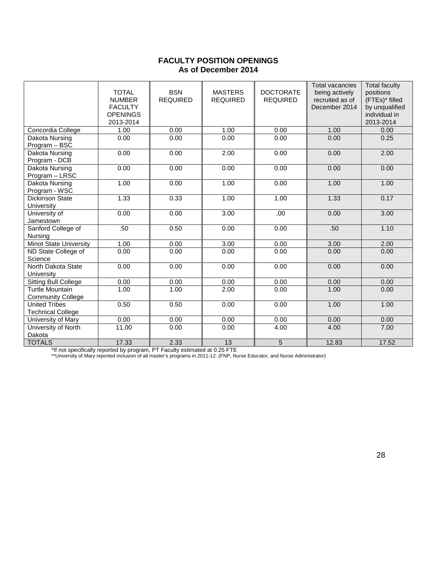### **FACULTY POSITION OPENINGS As of December 2014**

|                                                    | <b>TOTAL</b><br><b>NUMBER</b><br><b>FACULTY</b><br><b>OPENINGS</b><br>2013-2014 | <b>BSN</b><br><b>REQUIRED</b> | <b>MASTERS</b><br><b>REQUIRED</b> | <b>DOCTORATE</b><br><b>REQUIRED</b> | <b>Total vacancies</b><br>being actively<br>recruited as of<br>December 2014 | <b>Total faculty</b><br>positions<br>(FTEs)* filled<br>by unqualified<br>individual in<br>2013-2014 |
|----------------------------------------------------|---------------------------------------------------------------------------------|-------------------------------|-----------------------------------|-------------------------------------|------------------------------------------------------------------------------|-----------------------------------------------------------------------------------------------------|
| Concordia College                                  | 1.00                                                                            | 0.00                          | 1.00                              | 0.00                                | 1.00                                                                         | 0.00                                                                                                |
| Dakota Nursing<br>Program - BSC                    | 0.00                                                                            | 0.00                          | 0.00                              | 0.00                                | 0.00                                                                         | 0.25                                                                                                |
| Dakota Nursing<br>Program - DCB                    | 0.00                                                                            | 0.00                          | 2.00                              | 0.00                                | 0.00                                                                         | 2.00                                                                                                |
| <b>Dakota Nursing</b><br>Program - LRSC            | 0.00                                                                            | 0.00                          | 0.00                              | 0.00                                | 0.00                                                                         | 0.00                                                                                                |
| Dakota Nursing<br>Program - WSC                    | 1.00                                                                            | 0.00                          | 1.00                              | 0.00                                | 1.00                                                                         | 1.00                                                                                                |
| <b>Dickinson State</b><br>University               | 1.33                                                                            | 0.33                          | 1.00                              | 1.00                                | 1.33                                                                         | 0.17                                                                                                |
| University of<br>Jamestown                         | 0.00                                                                            | 0.00                          | 3.00                              | .00                                 | 0.00                                                                         | 3.00                                                                                                |
| Sanford College of<br>Nursing                      | .50                                                                             | 0.50                          | 0.00                              | 0.00                                | .50                                                                          | 1.10                                                                                                |
| <b>Minot State University</b>                      | 1.00                                                                            | 0.00                          | 3.00                              | 0.00                                | 3.00                                                                         | 2.00                                                                                                |
| ND State College of<br>Science                     | 0.00                                                                            | 0.00                          | 0.00                              | 0.00                                | 0.00                                                                         | 0.00                                                                                                |
| North Dakota State<br>University                   | 0.00                                                                            | 0.00                          | 0.00                              | 0.00                                | 0.00                                                                         | 0.00                                                                                                |
| <b>Sitting Bull College</b>                        | 0.00                                                                            | 0.00                          | 0.00                              | 0.00                                | 0.00                                                                         | 0.00                                                                                                |
| <b>Turtle Mountain</b><br><b>Community College</b> | 1.00                                                                            | 1.00                          | 2.00                              | 0.00                                | 1.00                                                                         | 0.00                                                                                                |
| <b>United Tribes</b><br><b>Technical College</b>   | 0.50                                                                            | 0.50                          | 0.00                              | 0.00                                | 1.00                                                                         | 1.00                                                                                                |
| University of Mary                                 | 0.00                                                                            | 0.00                          | 0.00                              | 0.00                                | 0.00                                                                         | 0.00                                                                                                |
| University of North<br>Dakota                      | 11.00                                                                           | 0.00                          | 0.00                              | 4.00                                | 4.00                                                                         | 7.00                                                                                                |
| <b>TOTALS</b>                                      | 17.33                                                                           | 2.33                          | 13                                | $\overline{5}$                      | 12.83                                                                        | 17.52                                                                                               |

\*If not specifically reported by program, PT Faculty estimated at 0.25 FTE

\*\*University of Mary reported inclusion of all master's programs in 2011-12. (FNP, Nurse Educator, and Nurse Administrator)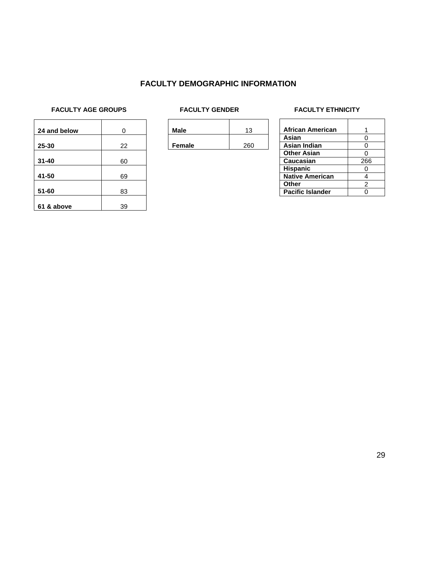### **FACULTY DEMOGRAPHIC INFORMATION**

## **FACULTY AGE GROUPS** FACULTY GENDER FACULTY FACULTY ETHNICITY

| 24 and below | 0  |
|--------------|----|
|              |    |
| 25-30        | 22 |
| $31 - 40$    | 60 |
| 41-50        | 69 |
| $51 - 60$    | 83 |
| 61 & above   | 39 |

|  | Male   |     |  |
|--|--------|-----|--|
|  |        | 260 |  |
|  | Female |     |  |

| <b>African American</b> |     |
|-------------------------|-----|
| Asian                   | ი   |
| Asian Indian            | ი   |
| <b>Other Asian</b>      | ∩   |
| Caucasian               | 266 |
| <b>Hispanic</b>         |     |
| <b>Native American</b>  |     |
| Other                   | 2   |
| <b>Pacific Islander</b> |     |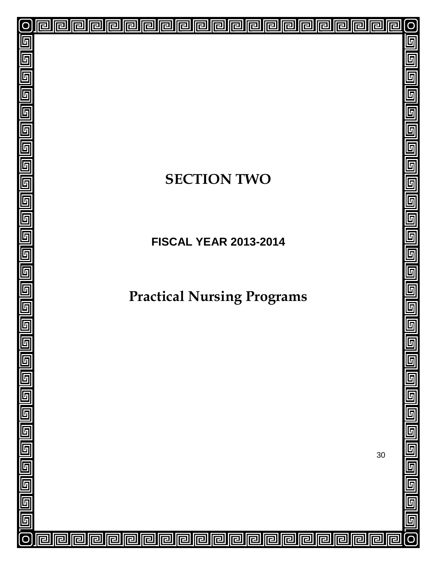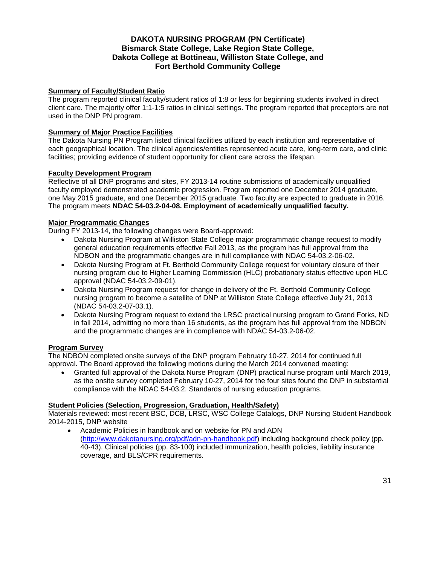### **DAKOTA NURSING PROGRAM (PN Certificate) Bismarck State College, Lake Region State College, Dakota College at Bottineau, Williston State College, and Fort Berthold Community College**

### **Summary of Faculty/Student Ratio**

The program reported clinical faculty/student ratios of 1:8 or less for beginning students involved in direct client care. The majority offer 1:1-1:5 ratios in clinical settings. The program reported that preceptors are not used in the DNP PN program.

### **Summary of Major Practice Facilities**

The Dakota Nursing PN Program listed clinical facilities utilized by each institution and representative of each geographical location. The clinical agencies/entities represented acute care, long-term care, and clinic facilities; providing evidence of student opportunity for client care across the lifespan.

### **Faculty Development Program**

Reflective of all DNP programs and sites, FY 2013-14 routine submissions of academically unqualified faculty employed demonstrated academic progression. Program reported one December 2014 graduate, one May 2015 graduate, and one December 2015 graduate. Two faculty are expected to graduate in 2016. The program meets **NDAC 54-03.2-04-08. Employment of academically unqualified faculty.**

### **Major Programmatic Changes**

During FY 2013-14, the following changes were Board-approved:

- Dakota Nursing Program at Williston State College major programmatic change request to modify general education requirements effective Fall 2013, as the program has full approval from the NDBON and the programmatic changes are in full compliance with NDAC 54-03.2-06-02.
- Dakota Nursing Program at Ft. Berthold Community College request for voluntary closure of their nursing program due to Higher Learning Commission (HLC) probationary status effective upon HLC approval (NDAC 54-03.2-09-01).
- Dakota Nursing Program request for change in delivery of the Ft. Berthold Community College nursing program to become a satellite of DNP at Williston State College effective July 21, 2013 (NDAC 54-03.2-07-03.1).
- Dakota Nursing Program request to extend the LRSC practical nursing program to Grand Forks, ND in fall 2014, admitting no more than 16 students, as the program has full approval from the NDBON and the programmatic changes are in compliance with NDAC 54-03.2-06-02.

#### **Program Survey**

The NDBON completed onsite surveys of the DNP program February 10-27, 2014 for continued full approval. The Board approved the following motions during the March 2014 convened meeting:

• Granted full approval of the Dakota Nurse Program (DNP) practical nurse program until March 2019, as the onsite survey completed February 10-27, 2014 for the four sites found the DNP in substantial compliance with the NDAC 54-03.2. Standards of nursing education programs.

### **Student Policies (Selection, Progression, Graduation, Health/Safety)**

Materials reviewed: most recent BSC, DCB, LRSC, WSC College Catalogs, DNP Nursing Student Handbook 2014-2015, DNP website

• Academic Policies in handbook and on website for PN and ADN [\(http://www.dakotanursing.org/pdf/adn-pn-handbook.pdf\)](http://www.dakotanursing.org/pdf/adn-pn-handbook.pdf) including background check policy (pp. 40-43). Clinical policies (pp. 83-100) included immunization, health policies, liability insurance coverage, and BLS/CPR requirements.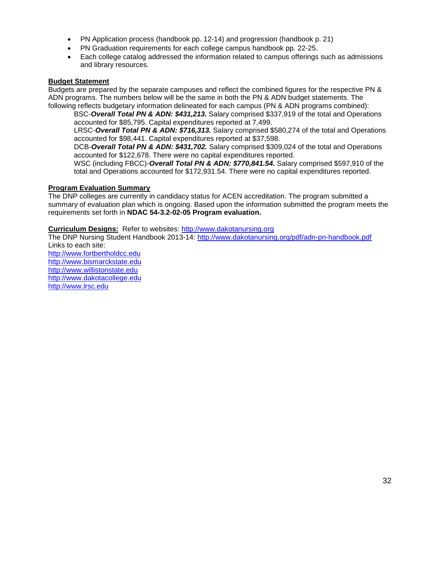- PN Application process (handbook pp. 12-14) and progression (handbook p. 21)
- PN Graduation requirements for each college campus handbook pp. 22-25.
- Each college catalog addressed the information related to campus offerings such as admissions and library resources.

### **Budget Statement**

Budgets are prepared by the separate campuses and reflect the combined figures for the respective PN & ADN programs. The numbers below will be the same in both the PN & ADN budget statements. The following reflects budgetary information delineated for each campus (PN & ADN programs combined):

BSC-*Overall Total PN & ADN: \$431,213.* Salary comprised \$337,919 of the total and Operations accounted for \$85,795. Capital expenditures reported at 7,499.

LRSC-*Overall Total PN & ADN: \$716,313.* Salary comprised \$580,274 of the total and Operations accounted for \$98,441. Capital expenditures reported at \$37,598.

DCB-*Overall Total PN & ADN: \$431,702.* Salary comprised \$309,024 of the total and Operations accounted for \$122,678. There were no capital expenditures reported.

WSC (including FBCC)-*Overall Total PN & ADN: \$770,841.54.* Salary comprised \$597,910 of the total and Operations accounted for \$172,931.54. There were no capital expenditures reported.

### **Program Evaluation Summary**

The DNP colleges are currently in candidacy status for ACEN accreditation. The program submitted a summary of evaluation plan which is ongoing. Based upon the information submitted the program meets the requirements set forth in **NDAC 54-3.2-02-05 Program evaluation.**

**Curriculum Designs:** Refer to websites: [http://www.dakotanursing.org](http://www.dakotanursing.org/)

The DNP Nursing Student Handbook 2013-14:<http://www.dakotanursing.org/pdf/adn-pn-handbook.pdf> Links to each site:

[http://www.fortbertholdcc.edu](http://www.fortbertholdcc.edu/) [http://www.bismarckstate.edu](http://www.bismarckstate.edu/) [http://www.willistonstate.edu](http://www.willistonstate.edu/)  [http://www.dakotacollege.edu](http://www.dakotacollege.edu/) [http://www.lrsc.edu](http://www.lrsc.edu/)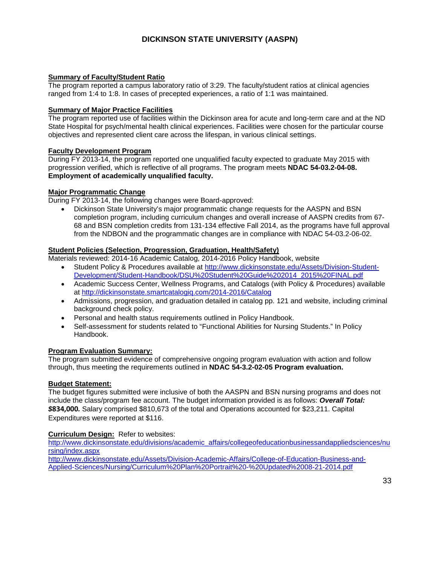### **DICKINSON STATE UNIVERSITY (AASPN)**

### **Summary of Faculty/Student Ratio**

The program reported a campus laboratory ratio of 3:29. The faculty/student ratios at clinical agencies ranged from 1:4 to 1:8. In cases of precepted experiences, a ratio of 1:1 was maintained.

#### **Summary of Major Practice Facilities**

The program reported use of facilities within the Dickinson area for acute and long-term care and at the ND State Hospital for psych/mental health clinical experiences. Facilities were chosen for the particular course objectives and represented client care across the lifespan, in various clinical settings.

### **Faculty Development Program**

During FY 2013-14, the program reported one unqualified faculty expected to graduate May 2015 with progression verified, which is reflective of all programs. The program meets **NDAC 54-03.2-04-08. Employment of academically unqualified faculty.**

### **Major Programmatic Change**

During FY 2013-14, the following changes were Board-approved:

• Dickinson State University's major programmatic change requests for the AASPN and BSN completion program, including curriculum changes and overall increase of AASPN credits from 67- 68 and BSN completion credits from 131-134 effective Fall 2014, as the programs have full approval from the NDBON and the programmatic changes are in compliance with NDAC 54-03.2-06-02.

### **Student Policies (Selection, Progression, Graduation, Health/Safety)**

Materials reviewed: 2014-16 Academic Catalog, 2014-2016 Policy Handbook, website

- Student Policy & Procedures available at [http://www.dickinsonstate.edu/Assets/Division-Student-](http://www.dickinsonstate.edu/Assets/Division-Student-Development/Student-Handbook/DSU%20Student%20Guide%202014_2015%20FINAL.pdf)[Development/Student-Handbook/DSU%20Student%20Guide%202014\\_2015%20FINAL.pdf](http://www.dickinsonstate.edu/Assets/Division-Student-Development/Student-Handbook/DSU%20Student%20Guide%202014_2015%20FINAL.pdf)
- Academic Success Center, Wellness Programs, and Catalogs (with Policy & Procedures) available at<http://dickinsonstate.smartcatalogiq.com/2014-2016/Catalog>
- Admissions, progression, and graduation detailed in catalog pp. 121 and website, including criminal background check policy.
- Personal and health status requirements outlined in Policy Handbook.
- Self-assessment for students related to "Functional Abilities for Nursing Students." In Policy Handbook.

### **Program Evaluation Summary:**

The program submitted evidence of comprehensive ongoing program evaluation with action and follow through, thus meeting the requirements outlined in **NDAC 54-3.2-02-05 Program evaluation.**

#### **Budget Statement:**

The budget figures submitted were inclusive of both the AASPN and BSN nursing programs and does not include the class/program fee account. The budget information provided is as follows: *Overall Total: \$***834,000***.* Salary comprised \$810,673 of the total and Operations accounted for \$23,211. Capital Expenditures were reported at \$116.

### **Curriculum Design:** Refer to websites:

[http://www.dickinsonstate.edu/divisions/academic\\_affairs/collegeofeducationbusinessandappliedsciences/nu](http://www.dickinsonstate.edu/divisions/academic_affairs/collegeofeducationbusinessandappliedsciences/nursing/index.aspx) [rsing/index.aspx](http://www.dickinsonstate.edu/divisions/academic_affairs/collegeofeducationbusinessandappliedsciences/nursing/index.aspx)

[http://www.dickinsonstate.edu/Assets/Division-Academic-Affairs/College-of-Education-Business-and-](http://www.dickinsonstate.edu/Assets/Division-Academic-Affairs/College-of-Education-Business-and-Applied-Sciences/Nursing/Curriculum%20Plan%20Portrait%20-%20Updated%2008-21-2014.pdf)[Applied-Sciences/Nursing/Curriculum%20Plan%20Portrait%20-%20Updated%2008-21-2014.pdf](http://www.dickinsonstate.edu/Assets/Division-Academic-Affairs/College-of-Education-Business-and-Applied-Sciences/Nursing/Curriculum%20Plan%20Portrait%20-%20Updated%2008-21-2014.pdf)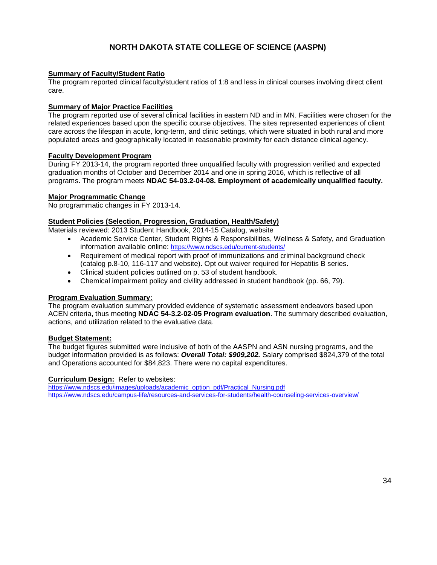### **NORTH DAKOTA STATE COLLEGE OF SCIENCE (AASPN)**

#### **Summary of Faculty/Student Ratio**

The program reported clinical faculty/student ratios of 1:8 and less in clinical courses involving direct client care.

### **Summary of Major Practice Facilities**

The program reported use of several clinical facilities in eastern ND and in MN. Facilities were chosen for the related experiences based upon the specific course objectives. The sites represented experiences of client care across the lifespan in acute, long-term, and clinic settings, which were situated in both rural and more populated areas and geographically located in reasonable proximity for each distance clinical agency.

#### **Faculty Development Program**

During FY 2013-14, the program reported three unqualified faculty with progression verified and expected graduation months of October and December 2014 and one in spring 2016, which is reflective of all programs. The program meets **NDAC 54-03.2-04-08. Employment of academically unqualified faculty.**

### **Major Programmatic Change**

No programmatic changes in FY 2013-14.

### **Student Policies (Selection, Progression, Graduation, Health/Safety)**

Materials reviewed: 2013 Student Handbook, 2014-15 Catalog, website

- Academic Service Center, Student Rights & Responsibilities, Wellness & Safety, and Graduation information available online:<https://www.ndscs.edu/current-students/>
- Requirement of medical report with proof of immunizations and criminal background check (catalog p.8-10, 116-117 and website). Opt out waiver required for Hepatitis B series.
- Clinical student policies outlined on p. 53 of student handbook.
- Chemical impairment policy and civility addressed in student handbook (pp. 66, 79).

#### **Program Evaluation Summary:**

The program evaluation summary provided evidence of systematic assessment endeavors based upon ACEN criteria, thus meeting **NDAC 54-3.2-02-05 Program evaluation**. The summary described evaluation, actions, and utilization related to the evaluative data.

#### **Budget Statement:**

The budget figures submitted were inclusive of both of the AASPN and ASN nursing programs, and the budget information provided is as follows: *Overall Total: \$909,202.* Salary comprised \$824,379 of the total and Operations accounted for \$84,823. There were no capital expenditures.

#### **Curriculum Design:** Refer to websites:

[https://www.ndscs.edu/images/uploads/academic\\_option\\_pdf/Practical\\_Nursing.pdf](https://www.ndscs.edu/images/uploads/academic_option_pdf/Practical_Nursing.pdf) <https://www.ndscs.edu/campus-life/resources-and-services-for-students/health-counseling-services-overview/>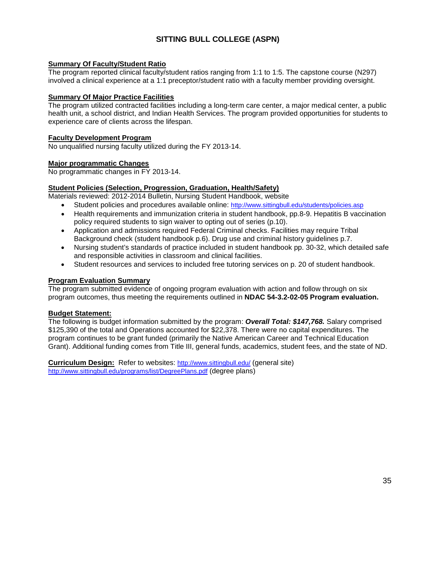### **SITTING BULL COLLEGE (ASPN)**

### **Summary Of Faculty/Student Ratio**

The program reported clinical faculty/student ratios ranging from 1:1 to 1:5. The capstone course (N297) involved a clinical experience at a 1:1 preceptor/student ratio with a faculty member providing oversight.

### **Summary Of Major Practice Facilities**

The program utilized contracted facilities including a long-term care center, a major medical center, a public health unit, a school district, and Indian Health Services. The program provided opportunities for students to experience care of clients across the lifespan.

#### **Faculty Development Program**

No unqualified nursing faculty utilized during the FY 2013-14.

### **Major programmatic Changes**

No programmatic changes in FY 2013-14.

### **Student Policies (Selection, Progression, Graduation, Health/Safety)**

Materials reviewed: 2012-2014 Bulletin, Nursing Student Handbook, website

- Student policies and procedures available online:<http://www.sittingbull.edu/students/policies.asp>
- Health requirements and immunization criteria in student handbook, pp.8-9. Hepatitis B vaccination policy required students to sign waiver to opting out of series (p.10).
- Application and admissions required Federal Criminal checks. Facilities may require Tribal Background check (student handbook p.6). Drug use and criminal history guidelines p.7.
- Nursing student's standards of practice included in student handbook pp. 30-32, which detailed safe and responsible activities in classroom and clinical facilities.
- Student resources and services to included free tutoring services on p. 20 of student handbook.

### **Program Evaluation Summary**

The program submitted evidence of ongoing program evaluation with action and follow through on six program outcomes, thus meeting the requirements outlined in **NDAC 54-3.2-02-05 Program evaluation.**

### **Budget Statement:**

The following is budget information submitted by the program: *Overall Total: \$147,768.* Salary comprised \$125,390 of the total and Operations accounted for \$22,378. There were no capital expenditures. The program continues to be grant funded (primarily the Native American Career and Technical Education Grant). Additional funding comes from Title III, general funds, academics, student fees, and the state of ND.

**Curriculum Design:** Refer to websites:<http://www.sittingbull.edu/> (general site) <http://www.sittingbull.edu/programs/list/DegreePlans.pdf> (degree plans)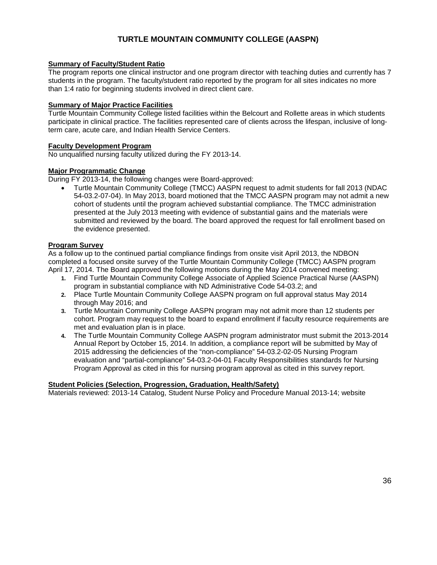### **TURTLE MOUNTAIN COMMUNITY COLLEGE (AASPN)**

### **Summary of Faculty/Student Ratio**

The program reports one clinical instructor and one program director with teaching duties and currently has 7 students in the program. The faculty/student ratio reported by the program for all sites indicates no more than 1:4 ratio for beginning students involved in direct client care.

### **Summary of Major Practice Facilities**

Turtle Mountain Community College listed facilities within the Belcourt and Rollette areas in which students participate in clinical practice. The facilities represented care of clients across the lifespan, inclusive of longterm care, acute care, and Indian Health Service Centers.

### **Faculty Development Program**

No unqualified nursing faculty utilized during the FY 2013-14.

### **Major Programmatic Change**

During FY 2013-14, the following changes were Board-approved:

• Turtle Mountain Community College (TMCC) AASPN request to admit students for fall 2013 (NDAC 54-03.2-07-04). In May 2013, board motioned that the TMCC AASPN program may not admit a new cohort of students until the program achieved substantial compliance. The TMCC administration presented at the July 2013 meeting with evidence of substantial gains and the materials were submitted and reviewed by the board. The board approved the request for fall enrollment based on the evidence presented.

### **Program Survey**

As a follow up to the continued partial compliance findings from onsite visit April 2013, the NDBON completed a focused onsite survey of the Turtle Mountain Community College (TMCC) AASPN program April 17, 2014. The Board approved the following motions during the May 2014 convened meeting:

- **1.** Find Turtle Mountain Community College Associate of Applied Science Practical Nurse (AASPN) program in substantial compliance with ND Administrative Code 54-03.2; and
- **2.** Place Turtle Mountain Community College AASPN program on full approval status May 2014 through May 2016; and
- **3.** Turtle Mountain Community College AASPN program may not admit more than 12 students per cohort. Program may request to the board to expand enrollment if faculty resource requirements are met and evaluation plan is in place.
- **4.** The Turtle Mountain Community College AASPN program administrator must submit the 2013-2014 Annual Report by October 15, 2014. In addition, a compliance report will be submitted by May of 2015 addressing the deficiencies of the "non-compliance" 54-03.2-02-05 Nursing Program evaluation and "partial-compliance" 54-03.2-04-01 Faculty Responsibilities standards for Nursing Program Approval as cited in this for nursing program approval as cited in this survey report.

#### **Student Policies (Selection, Progression, Graduation, Health/Safety)**

Materials reviewed: 2013-14 Catalog, Student Nurse Policy and Procedure Manual 2013-14; website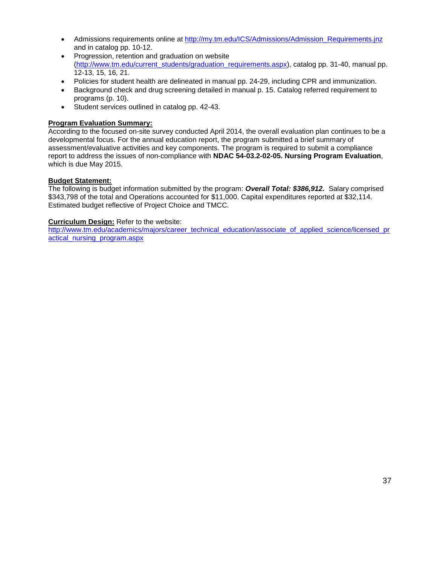- Admissions requirements online at [http://my.tm.edu/ICS/Admissions/Admission\\_Requirements.jnz](http://my.tm.edu/ICS/Admissions/Admission_Requirements.jnz) and in catalog pp. 10-12.
- Progression, retention and graduation on website [\(http://www.tm.edu/current\\_students/graduation\\_requirements.aspx\)](http://www.tm.edu/current_students/graduation_requirements.aspx), catalog pp. 31-40, manual pp. 12-13, 15, 16, 21.
- Policies for student health are delineated in manual pp. 24-29, including CPR and immunization.
- Background check and drug screening detailed in manual p. 15. Catalog referred requirement to programs (p. 10).
- Student services outlined in catalog pp. 42-43.

### **Program Evaluation Summary:**

According to the focused on-site survey conducted April 2014, the overall evaluation plan continues to be a developmental focus. For the annual education report, the program submitted a brief summary of assessment/evaluative activities and key components. The program is required to submit a compliance report to address the issues of non-compliance with **NDAC 54-03.2-02-05. Nursing Program Evaluation**, which is due May 2015.

### **Budget Statement:**

The following is budget information submitted by the program: *Overall Total: \$386,912.* Salary comprised \$343,798 of the total and Operations accounted for \$11,000. Capital expenditures reported at \$32,114. Estimated budget reflective of Project Choice and TMCC.

### **Curriculum Design:** Refer to the website:

[http://www.tm.edu/academics/majors/career\\_technical\\_education/associate\\_of\\_applied\\_science/licensed\\_pr](http://www.tm.edu/academics/majors/career_technical_education/associate_of_applied_science/licensed_practical_nursing_program.aspx) [actical\\_nursing\\_program.aspx](http://www.tm.edu/academics/majors/career_technical_education/associate_of_applied_science/licensed_practical_nursing_program.aspx)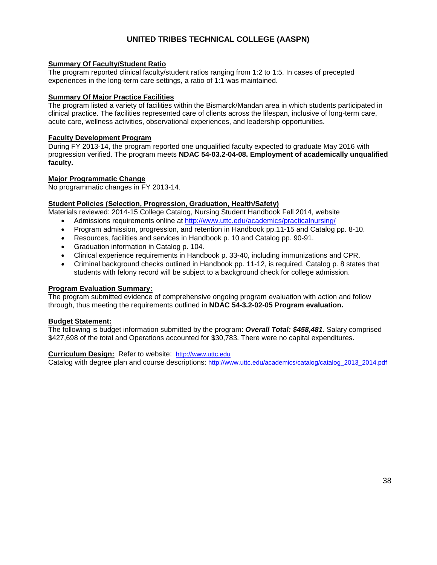### **UNITED TRIBES TECHNICAL COLLEGE (AASPN)**

### **Summary Of Faculty/Student Ratio**

The program reported clinical faculty/student ratios ranging from 1:2 to 1:5. In cases of precepted experiences in the long-term care settings, a ratio of 1:1 was maintained.

### **Summary Of Major Practice Facilities**

The program listed a variety of facilities within the Bismarck/Mandan area in which students participated in clinical practice. The facilities represented care of clients across the lifespan, inclusive of long-term care, acute care, wellness activities, observational experiences, and leadership opportunities.

#### **Faculty Development Program**

During FY 2013-14, the program reported one unqualified faculty expected to graduate May 2016 with progression verified. The program meets **NDAC 54-03.2-04-08. Employment of academically unqualified faculty.**

### **Major Programmatic Change**

No programmatic changes in FY 2013-14.

### **Student Policies (Selection, Progression, Graduation, Health/Safety)**

Materials reviewed: 2014-15 College Catalog, Nursing Student Handbook Fall 2014, website

- Admissions requirements online at<http://www.uttc.edu/academics/practicalnursing/>
- Program admission, progression, and retention in Handbook pp.11-15 and Catalog pp. 8-10.
- Resources, facilities and services in Handbook p. 10 and Catalog pp. 90-91.
- Graduation information in Catalog p. 104.
- Clinical experience requirements in Handbook p. 33-40, including immunizations and CPR.
- Criminal background checks outlined in Handbook pp. 11-12, is required. Catalog p. 8 states that students with felony record will be subject to a background check for college admission.

#### **Program Evaluation Summary:**

The program submitted evidence of comprehensive ongoing program evaluation with action and follow through, thus meeting the requirements outlined in **NDAC 54-3.2-02-05 Program evaluation.**

#### **Budget Statement:**

The following is budget information submitted by the program: *Overall Total: \$458,481.* Salary comprised \$427,698 of the total and Operations accounted for \$30,783. There were no capital expenditures.

**Curriculum Design:** Refer to website: [http://www.uttc.edu](http://www.uttc.edu/) Catalog with degree plan and course descriptions: [http://www.uttc.edu/academics/catalog/catalog\\_2013\\_2014.pdf](http://www.uttc.edu/academics/catalog/catalog_2013_2014.pdf)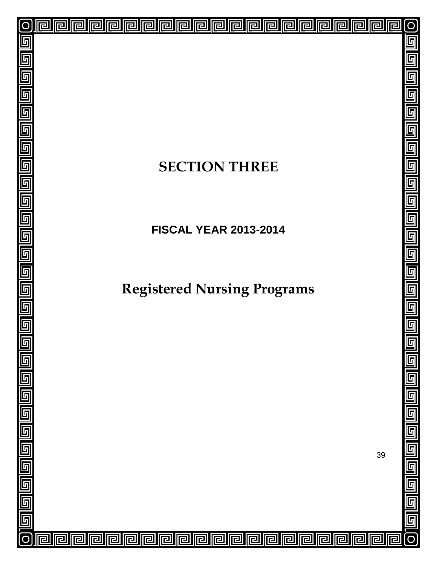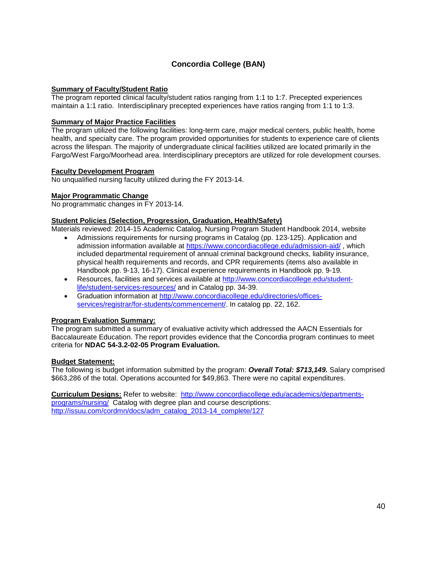### **Concordia College (BAN)**

### **Summary of Faculty/Student Ratio**

The program reported clinical faculty/student ratios ranging from 1:1 to 1:7. Precepted experiences maintain a 1:1 ratio. Interdisciplinary precepted experiences have ratios ranging from 1:1 to 1:3.

### **Summary of Major Practice Facilities**

The program utilized the following facilities: long-term care, major medical centers, public health, home health, and specialty care. The program provided opportunities for students to experience care of clients across the lifespan. The majority of undergraduate clinical facilities utilized are located primarily in the Fargo/West Fargo/Moorhead area. Interdisciplinary preceptors are utilized for role development courses.

### **Faculty Development Program**

No unqualified nursing faculty utilized during the FY 2013-14.

### **Major Programmatic Change**

No programmatic changes in FY 2013-14.

### **Student Policies (Selection, Progression, Graduation, Health/Safety)**

Materials reviewed: 2014-15 Academic Catalog, Nursing Program Student Handbook 2014, website

- Admissions requirements for nursing programs in Catalog (pp. 123-125). Application and admission information available at<https://www.concordiacollege.edu/admission-aid/> , which included departmental requirement of annual criminal background checks, liability insurance, physical health requirements and records, and CPR requirements (items also available in Handbook pp. 9-13, 16-17). Clinical experience requirements in Handbook pp. 9-19.
- Resources, facilities and services available at [http://www.concordiacollege.edu/student](http://www.concordiacollege.edu/student-life/student-services-resources/)[life/student-services-resources/](http://www.concordiacollege.edu/student-life/student-services-resources/) and in Catalog pp. 34-39.
- Graduation information at [http://www.concordiacollege.edu/directories/offices](http://www.concordiacollege.edu/directories/offices-services/registrar/for-students/commencement/)[services/registrar/for-students/commencement/.](http://www.concordiacollege.edu/directories/offices-services/registrar/for-students/commencement/) In catalog pp. 22, 162.

### **Program Evaluation Summary:**

The program submitted a summary of evaluative activity which addressed the AACN Essentials for Baccalaureate Education. The report provides evidence that the Concordia program continues to meet criteria for **NDAC 54-3.2-02-05 Program Evaluation.**

#### **Budget Statement:**

The following is budget information submitted by the program: *Overall Total: \$713,149.* Salary comprised \$663,286 of the total. Operations accounted for \$49,863. There were no capital expenditures.

**Curriculum Designs:** Refer to website: [http://www.concordiacollege.edu/academics/departments](http://www.concordiacollege.edu/academics/departments-programs/nursing/)[programs/nursing/](http://www.concordiacollege.edu/academics/departments-programs/nursing/) Catalog with degree plan and course descriptions: [http://issuu.com/cordmn/docs/adm\\_catalog\\_2013-14\\_complete/127](http://issuu.com/cordmn/docs/adm_catalog_2013-14_complete/127)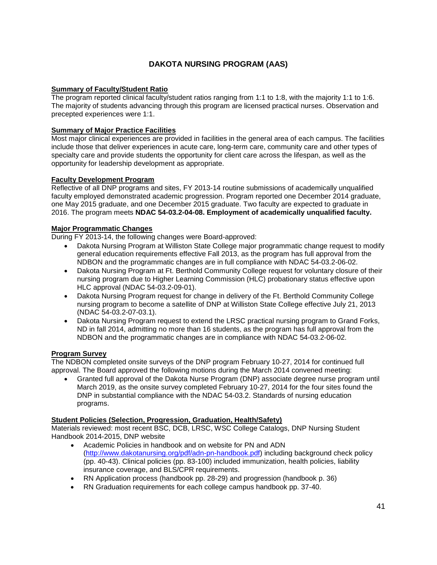### **DAKOTA NURSING PROGRAM (AAS)**

### **Summary of Faculty/Student Ratio**

The program reported clinical faculty/student ratios ranging from 1:1 to 1:8, with the majority 1:1 to 1:6. The majority of students advancing through this program are licensed practical nurses. Observation and precepted experiences were 1:1.

### **Summary of Major Practice Facilities**

Most major clinical experiences are provided in facilities in the general area of each campus. The facilities include those that deliver experiences in acute care, long-term care, community care and other types of specialty care and provide students the opportunity for client care across the lifespan, as well as the opportunity for leadership development as appropriate.

### **Faculty Development Program**

Reflective of all DNP programs and sites, FY 2013-14 routine submissions of academically unqualified faculty employed demonstrated academic progression. Program reported one December 2014 graduate, one May 2015 graduate, and one December 2015 graduate. Two faculty are expected to graduate in 2016. The program meets **NDAC 54-03.2-04-08. Employment of academically unqualified faculty.**

### **Major Programmatic Changes**

During FY 2013-14, the following changes were Board-approved:

- Dakota Nursing Program at Williston State College major programmatic change request to modify general education requirements effective Fall 2013, as the program has full approval from the NDBON and the programmatic changes are in full compliance with NDAC 54-03.2-06-02.
- Dakota Nursing Program at Ft. Berthold Community College request for voluntary closure of their nursing program due to Higher Learning Commission (HLC) probationary status effective upon HLC approval (NDAC 54-03.2-09-01).
- Dakota Nursing Program request for change in delivery of the Ft. Berthold Community College nursing program to become a satellite of DNP at Williston State College effective July 21, 2013 (NDAC 54-03.2-07-03.1).
- Dakota Nursing Program request to extend the LRSC practical nursing program to Grand Forks, ND in fall 2014, admitting no more than 16 students, as the program has full approval from the NDBON and the programmatic changes are in compliance with NDAC 54-03.2-06-02.

### **Program Survey**

The NDBON completed onsite surveys of the DNP program February 10-27, 2014 for continued full approval. The Board approved the following motions during the March 2014 convened meeting:

• Granted full approval of the Dakota Nurse Program (DNP) associate degree nurse program until March 2019, as the onsite survey completed February 10-27, 2014 for the four sites found the DNP in substantial compliance with the NDAC 54-03.2. Standards of nursing education programs.

### **Student Policies (Selection, Progression, Graduation, Health/Safety)**

Materials reviewed: most recent BSC, DCB, LRSC, WSC College Catalogs, DNP Nursing Student Handbook 2014-2015, DNP website

- Academic Policies in handbook and on website for PN and ADN [\(http://www.dakotanursing.org/pdf/adn-pn-handbook.pdf\)](http://www.dakotanursing.org/pdf/adn-pn-handbook.pdf) including background check policy (pp. 40-43). Clinical policies (pp. 83-100) included immunization, health policies, liability insurance coverage, and BLS/CPR requirements.
- RN Application process (handbook pp. 28-29) and progression (handbook p. 36)
- RN Graduation requirements for each college campus handbook pp. 37-40.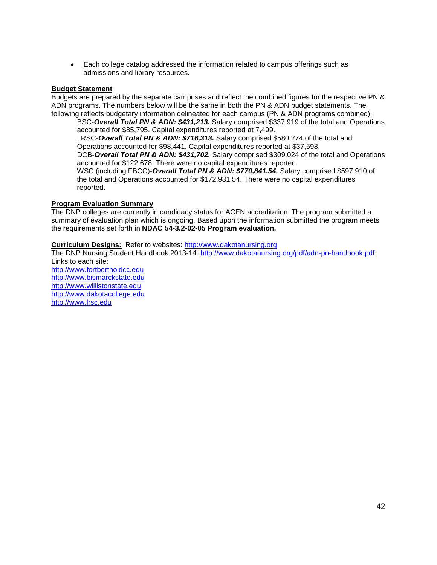• Each college catalog addressed the information related to campus offerings such as admissions and library resources.

### **Budget Statement**

Budgets are prepared by the separate campuses and reflect the combined figures for the respective PN & ADN programs. The numbers below will be the same in both the PN & ADN budget statements. The following reflects budgetary information delineated for each campus (PN & ADN programs combined):

BSC-*Overall Total PN & ADN: \$431,213.* Salary comprised \$337,919 of the total and Operations accounted for \$85,795. Capital expenditures reported at 7,499.

LRSC-*Overall Total PN & ADN: \$716,313.* Salary comprised \$580,274 of the total and Operations accounted for \$98,441. Capital expenditures reported at \$37,598.

DCB-*Overall Total PN & ADN: \$431,702.* Salary comprised \$309,024 of the total and Operations accounted for \$122,678. There were no capital expenditures reported.

WSC (including FBCC)-*Overall Total PN & ADN: \$770,841.54.* Salary comprised \$597,910 of the total and Operations accounted for \$172,931.54. There were no capital expenditures reported.

#### **Program Evaluation Summary**

The DNP colleges are currently in candidacy status for ACEN accreditation. The program submitted a summary of evaluation plan which is ongoing. Based upon the information submitted the program meets the requirements set forth in **NDAC 54-3.2-02-05 Program evaluation.**

**Curriculum Designs:** Refer to websites: [http://www.dakotanursing.org](http://www.dakotanursing.org/)

The DNP Nursing Student Handbook 2013-14:<http://www.dakotanursing.org/pdf/adn-pn-handbook.pdf> Links to each site:

[http://www.fortbertholdcc.edu](http://www.fortbertholdcc.edu/) [http://www.bismarckstate.edu](http://www.bismarckstate.edu/) [http://www.willistonstate.edu](http://www.willistonstate.edu/)  [http://www.dakotacollege.edu](http://www.dakotacollege.edu/) [http://www.lrsc.edu](http://www.lrsc.edu/)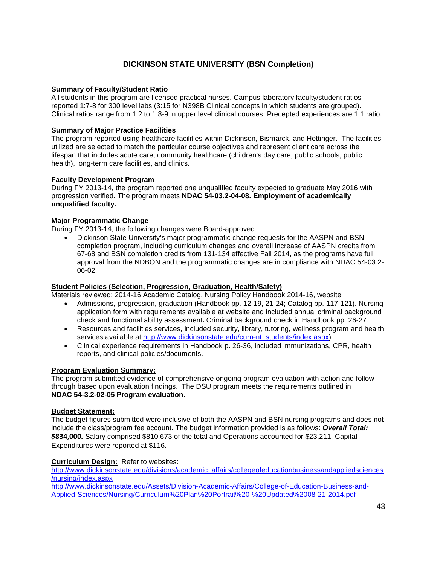### **DICKINSON STATE UNIVERSITY (BSN Completion)**

### **Summary of Faculty/Student Ratio**

All students in this program are licensed practical nurses. Campus laboratory faculty/student ratios reported 1:7-8 for 300 level labs (3:15 for N398B Clinical concepts in which students are grouped). Clinical ratios range from 1:2 to 1:8-9 in upper level clinical courses. Precepted experiences are 1:1 ratio.

### **Summary of Major Practice Facilities**

The program reported using healthcare facilities within Dickinson, Bismarck, and Hettinger. The facilities utilized are selected to match the particular course objectives and represent client care across the lifespan that includes acute care, community healthcare (children's day care, public schools, public health), long-term care facilities, and clinics.

### **Faculty Development Program**

During FY 2013-14, the program reported one unqualified faculty expected to graduate May 2016 with progression verified. The program meets **NDAC 54-03.2-04-08. Employment of academically unqualified faculty.**

### **Major Programmatic Change**

During FY 2013-14, the following changes were Board-approved:

• Dickinson State University's major programmatic change requests for the AASPN and BSN completion program, including curriculum changes and overall increase of AASPN credits from 67-68 and BSN completion credits from 131-134 effective Fall 2014, as the programs have full approval from the NDBON and the programmatic changes are in compliance with NDAC 54-03.2- 06-02.

### **Student Policies (Selection, Progression, Graduation, Health/Safety)**

Materials reviewed: 2014-16 Academic Catalog, Nursing Policy Handbook 2014-16, website

- Admissions, progression, graduation (Handbook pp. 12-19, 21-24; Catalog pp. 117-121). Nursing application form with requirements available at website and included annual criminal background check and functional ability assessment**.** Criminal background check in Handbook pp. 26-27.
- Resources and facilities services, included security, library, tutoring, wellness program and health services available at [http://www.dickinsonstate.edu/current\\_students/index.aspx\)](http://www.dickinsonstate.edu/current_students/index.aspx)
- Clinical experience requirements in Handbook p. 26-36, included immunizations, CPR, health reports, and clinical policies/documents.

#### **Program Evaluation Summary:**

The program submitted evidence of comprehensive ongoing program evaluation with action and follow through based upon evaluation findings. The DSU program meets the requirements outlined in **NDAC 54-3.2-02-05 Program evaluation.**

#### **Budget Statement:**

The budget figures submitted were inclusive of both the AASPN and BSN nursing programs and does not include the class/program fee account. The budget information provided is as follows: *Overall Total: \$***834,000***.* Salary comprised \$810,673 of the total and Operations accounted for \$23,211. Capital Expenditures were reported at \$116.

**Curriculum Design:** Refer to websites:

[http://www.dickinsonstate.edu/divisions/academic\\_affairs/collegeofeducationbusinessandappliedsciences](http://www.dickinsonstate.edu/divisions/academic_affairs/collegeofeducationbusinessandappliedsciences/nursing/index.aspx) [/nursing/index.aspx](http://www.dickinsonstate.edu/divisions/academic_affairs/collegeofeducationbusinessandappliedsciences/nursing/index.aspx)

[http://www.dickinsonstate.edu/Assets/Division-Academic-Affairs/College-of-Education-Business-and-](http://www.dickinsonstate.edu/Assets/Division-Academic-Affairs/College-of-Education-Business-and-Applied-Sciences/Nursing/Curriculum%20Plan%20Portrait%20-%20Updated%2008-21-2014.pdf)[Applied-Sciences/Nursing/Curriculum%20Plan%20Portrait%20-%20Updated%2008-21-2014.pdf](http://www.dickinsonstate.edu/Assets/Division-Academic-Affairs/College-of-Education-Business-and-Applied-Sciences/Nursing/Curriculum%20Plan%20Portrait%20-%20Updated%2008-21-2014.pdf)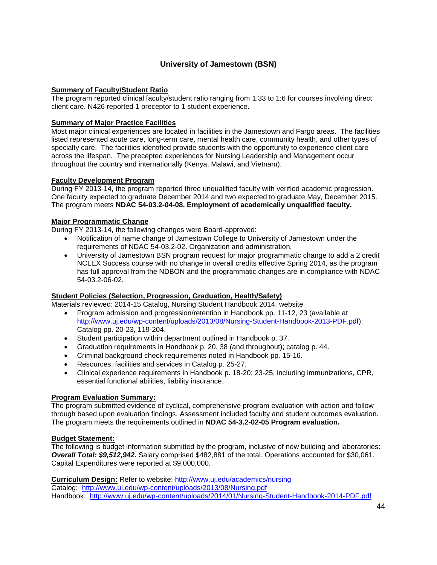### **University of Jamestown (BSN)**

### **Summary of Faculty/Student Ratio**

The program reported clinical faculty/student ratio ranging from 1:33 to 1:6 for courses involving direct client care. N426 reported 1 preceptor to 1 student experience.

#### **Summary of Major Practice Facilities**

Most major clinical experiences are located in facilities in the Jamestown and Fargo areas. The facilities listed represented acute care, long-term care, mental health care, community health, and other types of specialty care. The facilities identified provide students with the opportunity to experience client care across the lifespan. The precepted experiences for Nursing Leadership and Management occur throughout the country and internationally (Kenya, Malawi, and Vietnam).

### **Faculty Development Program**

During FY 2013-14, the program reported three unqualified faculty with verified academic progression. One faculty expected to graduate December 2014 and two expected to graduate May, December 2015. The program meets **NDAC 54-03.2-04-08. Employment of academically unqualified faculty.**

### **Major Programmatic Change**

During FY 2013-14, the following changes were Board-approved:

- Notification of name change of Jamestown College to University of Jamestown under the requirements of NDAC 54-03.2-02. Organization and administration.
- University of Jamestown BSN program request for major programmatic change to add a 2 credit NCLEX Success course with no change in overall credits effective Spring 2014, as the program has full approval from the NDBON and the programmatic changes are in compliance with NDAC 54-03.2-06-02.

### **Student Policies (Selection, Progression, Graduation, Health/Safety)**

Materials reviewed: 2014-15 Catalog, Nursing Student Handbook 2014, website

- Program admission and progression/retention in Handbook pp. 11-12, 23 (available at [http://www.uj.edu/wp-content/uploads/2013/08/Nursing-Student-Handbook-2013-PDF.pdf\)](http://www.uj.edu/wp-content/uploads/2013/08/Nursing-Student-Handbook-2013-PDF.pdf); Catalog pp. 20-23, 119-204.
- Student participation within department outlined in Handbook p. 37.
- Graduation requirements in Handbook p. 20, 38 (and throughout); catalog p. 44.
- Criminal background check requirements noted in Handbook pp. 15-16.
- Resources, facilities and services in Catalog p. 25-27.
- Clinical experience requirements in Handbook p. 18-20; 23-25, including immunizations, CPR, essential functional abilities, liability insurance.

#### **Program Evaluation Summary:**

The program submitted evidence of cyclical, comprehensive program evaluation with action and follow through based upon evaluation findings. Assessment included faculty and student outcomes evaluation. The program meets the requirements outlined in **NDAC 54-3.2-02-05 Program evaluation.**

#### **Budget Statement:**

The following is budget information submitted by the program, inclusive of new building and laboratories: *Overall Total: \$9,512,942.* Salary comprised \$482,881 of the total. Operations accounted for \$30,061. Capital Expenditures were reported at \$9,000,000.

**Curriculum Design:** Refer to website:<http://www.uj.edu/academics/nursing> Catalog: <http://www.uj.edu/wp-content/uploads/2013/08/Nursing.pdf> Handbook: <http://www.uj.edu/wp-content/uploads/2014/01/Nursing-Student-Handbook-2014-PDF.pdf>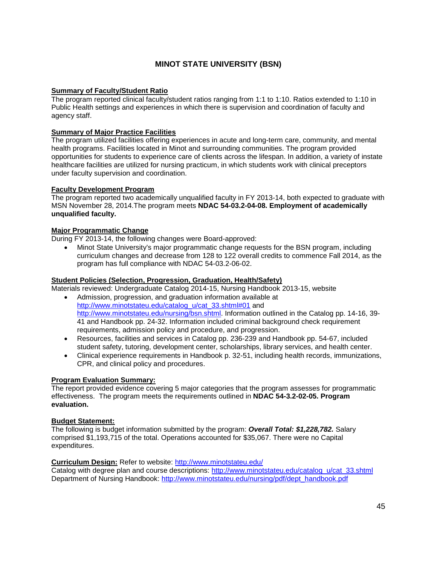### **MINOT STATE UNIVERSITY (BSN)**

### **Summary of Faculty/Student Ratio**

The program reported clinical faculty/student ratios ranging from 1:1 to 1:10. Ratios extended to 1:10 in Public Health settings and experiences in which there is supervision and coordination of faculty and agency staff.

### **Summary of Major Practice Facilities**

The program utilized facilities offering experiences in acute and long-term care, community, and mental health programs. Facilities located in Minot and surrounding communities. The program provided opportunities for students to experience care of clients across the lifespan. In addition, a variety of instate healthcare facilities are utilized for nursing practicum, in which students work with clinical preceptors under faculty supervision and coordination.

#### **Faculty Development Program**

The program reported two academically unqualified faculty in FY 2013-14, both expected to graduate with MSN November 28, 2014.The program meets **NDAC 54-03.2-04-08. Employment of academically unqualified faculty.**

### **Major Programmatic Change**

During FY 2013-14, the following changes were Board-approved:

• Minot State University's major programmatic change requests for the BSN program, including curriculum changes and decrease from 128 to 122 overall credits to commence Fall 2014, as the program has full compliance with NDAC 54-03.2-06-02.

#### **Student Policies (Selection, Progression, Graduation, Health/Safety)**

Materials reviewed: Undergraduate Catalog 2014-15, Nursing Handbook 2013-15, website

- Admission, progression, and graduation information available at [http://www.minotstateu.edu/catalog\\_u/cat\\_33.shtml#01](http://www.minotstateu.edu/catalog_u/cat_33.shtml%2301) and [http://www.minotstateu.edu/nursing/bsn.shtml.](http://www.minotstateu.edu/nursing/bsn.shtml) Information outlined in the Catalog pp. 14-16, 39-41 and Handbook pp. 24-32. Information included criminal background check requirement requirements, admission policy and procedure, and progression.
- Resources, facilities and services in Catalog pp. 236-239 and Handbook pp. 54-67, included student safety, tutoring, development center, scholarships, library services, and health center.
- Clinical experience requirements in Handbook p. 32-51, including health records, immunizations, CPR, and clinical policy and procedures.

#### **Program Evaluation Summary:**

The report provided evidence covering 5 major categories that the program assesses for programmatic effectiveness.The program meets the requirements outlined in **NDAC 54-3.2-02-05. Program evaluation.**

#### **Budget Statement:**

The following is budget information submitted by the program: *Overall Total: \$1,228,782.* Salary comprised \$1,193,715 of the total. Operations accounted for \$35,067. There were no Capital expenditures.

#### **Curriculum Design:** Refer to website:<http://www.minotstateu.edu/>

Catalog with degree plan and course descriptions: [http://www.minotstateu.edu/catalog\\_u/cat\\_33.shtml](http://www.minotstateu.edu/catalog_u/cat_33.shtml) Department of Nursing Handbook: [http://www.minotstateu.edu/nursing/pdf/dept\\_handbook.pdf](http://www.minotstateu.edu/nursing/pdf/dept_handbook.pdf)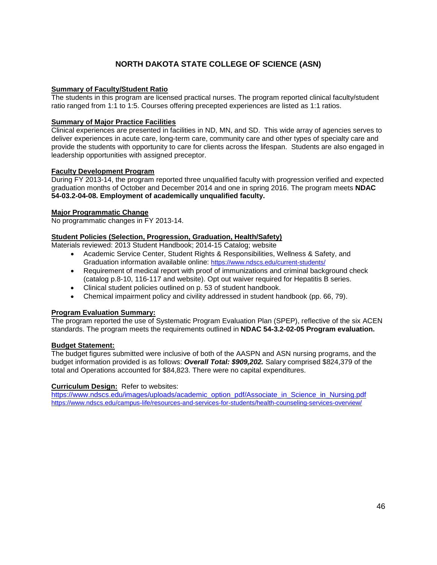### **NORTH DAKOTA STATE COLLEGE OF SCIENCE (ASN)**

### **Summary of Faculty/Student Ratio**

The students in this program are licensed practical nurses. The program reported clinical faculty/student ratio ranged from 1:1 to 1:5. Courses offering precepted experiences are listed as 1:1 ratios.

### **Summary of Major Practice Facilities**

Clinical experiences are presented in facilities in ND, MN, and SD. This wide array of agencies serves to deliver experiences in acute care, long-term care, community care and other types of specialty care and provide the students with opportunity to care for clients across the lifespan. Students are also engaged in leadership opportunities with assigned preceptor.

### **Faculty Development Program**

During FY 2013-14, the program reported three unqualified faculty with progression verified and expected graduation months of October and December 2014 and one in spring 2016. The program meets **NDAC 54-03.2-04-08. Employment of academically unqualified faculty.**

### **Major Programmatic Change**

No programmatic changes in FY 2013-14.

### **Student Policies (Selection, Progression, Graduation, Health/Safety)**

Materials reviewed: 2013 Student Handbook; 2014-15 Catalog; website

- Academic Service Center, Student Rights & Responsibilities, Wellness & Safety, and Graduation information available online:<https://www.ndscs.edu/current-students/>
- Requirement of medical report with proof of immunizations and criminal background check (catalog p.8-10, 116-117 and website). Opt out waiver required for Hepatitis B series.
- Clinical student policies outlined on p. 53 of student handbook.
- Chemical impairment policy and civility addressed in student handbook (pp. 66, 79).

### **Program Evaluation Summary:**

The program reported the use of Systematic Program Evaluation Plan (SPEP), reflective of the six ACEN standards. The program meets the requirements outlined in **NDAC 54-3.2-02-05 Program evaluation.**

#### **Budget Statement:**

The budget figures submitted were inclusive of both of the AASPN and ASN nursing programs, and the budget information provided is as follows: *Overall Total: \$909,202.* Salary comprised \$824,379 of the total and Operations accounted for \$84,823. There were no capital expenditures.

### **Curriculum Design:** Refer to websites:

[https://www.ndscs.edu/images/uploads/academic\\_option\\_pdf/Associate\\_in\\_Science\\_in\\_Nursing.pdf](https://www.ndscs.edu/images/uploads/academic_option_pdf/Associate_in_Science_in_Nursing.pdf) <https://www.ndscs.edu/campus-life/resources-and-services-for-students/health-counseling-services-overview/>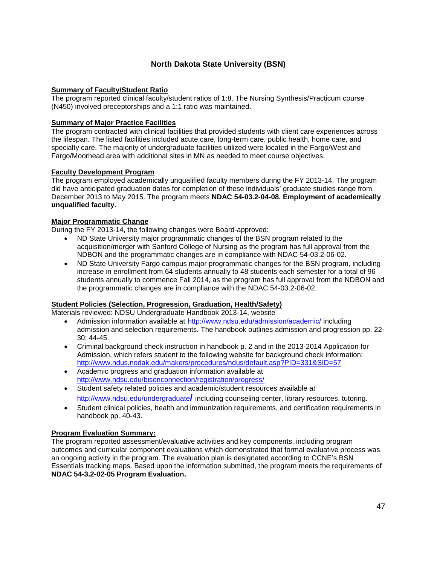### **North Dakota State University (BSN)**

### **Summary of Faculty/Student Ratio**

The program reported clinical faculty/student ratios of 1:8. The Nursing Synthesis/Practicum course (N450) involved preceptorships and a 1:1 ratio was maintained.

### **Summary of Major Practice Facilities**

The program contracted with clinical facilities that provided students with client care experiences across the lifespan. The listed facilities included acute care, long-term care, public health, home care, and specialty care. The majority of undergraduate facilities utilized were located in the Fargo/West and Fargo/Moorhead area with additional sites in MN as needed to meet course objectives.

### **Faculty Development Program**

The program employed academically unqualified faculty members during the FY 2013-14. The program did have anticipated graduation dates for completion of these individuals' graduate studies range from December 2013 to May 2015. The program meets **NDAC 54-03.2-04-08. Employment of academically unqualified faculty.**

### **Major Programmatic Change**

During the FY 2013-14, the following changes were Board-approved:

- ND State University major programmatic changes of the BSN program related to the acquisition/merger with Sanford College of Nursing as the program has full approval from the NDBON and the programmatic changes are in compliance with NDAC 54-03.2-06-02.
- ND State University Fargo campus major programmatic changes for the BSN program, including increase in enrollment from 64 students annually to 48 students each semester for a total of 96 students annually to commence Fall 2014, as the program has full approval from the NDBON and the programmatic changes are in compliance with the NDAC 54-03.2-06-02.

### **Student Policies (Selection, Progression, Graduation, Health/Safety)**

Materials reviewed: NDSU Undergraduate Handbook 2013-14, website

- Admission information available at <http://www.ndsu.edu/admission/academic/> including admission and selection requirements. The handbook outlines admission and progression pp. 22- 30; 44-45.
- Criminal background check instruction in handbook p. 2 and in the 2013-2014 Application for Admission, which refers student to the following website for background check information: <http://www.ndus.nodak.edu/makers/procedures/ndus/default.asp?PID=331&SID=57>
- Academic progress and graduation information available at <http://www.ndsu.edu/bisonconnection/registration/progress/>
- Student safety related policies and academic/student resources available at [http://www.ndsu.edu/undergraduate](http://www.ndsu.edu/undergraduate/)**/** including counseling center, library resources, tutoring.
- Student clinical policies, health and immunization requirements, and certification requirements in handbook pp. 40-43.

### **Program Evaluation Summary:**

The program reported assessment/evaluative activities and key components, including program outcomes and curricular component evaluations which demonstrated that formal evaluative process was an ongoing activity in the program. The evaluation plan is designated according to CCNE's BSN Essentials tracking maps. Based upon the information submitted, the program meets the requirements of **NDAC 54-3.2-02-05 Program Evaluation.**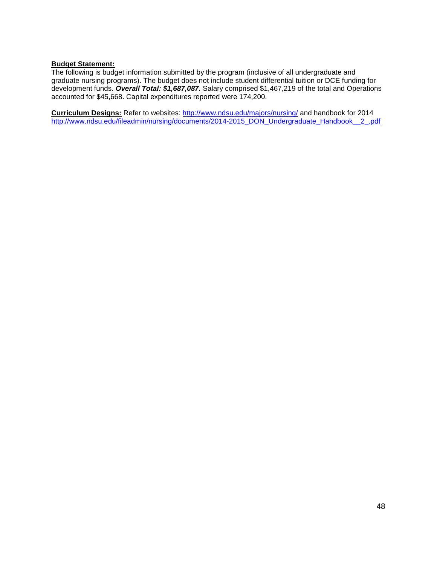### **Budget Statement:**

The following is budget information submitted by the program (inclusive of all undergraduate and graduate nursing programs). The budget does not include student differential tuition or DCE funding for development funds. *Overall Total: \$1,687,087.* Salary comprised \$1,467,219 of the total and Operations accounted for \$45,668. Capital expenditures reported were 174,200.

**Curriculum Designs:** Refer to websites:<http://www.ndsu.edu/majors/nursing/> and handbook for 2014 [http://www.ndsu.edu/fileadmin/nursing/documents/2014-2015\\_DON\\_Undergraduate\\_Handbook\\_\\_2\\_.pdf](http://www.ndsu.edu/fileadmin/nursing/documents/2014-2015_DON_Undergraduate_Handbook__2_.pdf)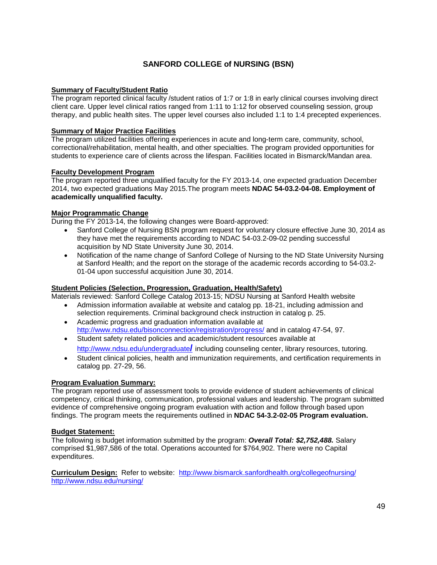### **SANFORD COLLEGE of NURSING (BSN)**

### **Summary of Faculty/Student Ratio**

The program reported clinical faculty /student ratios of 1:7 or 1:8 in early clinical courses involving direct client care. Upper level clinical ratios ranged from 1:11 to 1:12 for observed counseling session, group therapy, and public health sites. The upper level courses also included 1:1 to 1:4 precepted experiences.

### **Summary of Major Practice Facilities**

The program utilized facilities offering experiences in acute and long-term care, community, school, correctional/rehabilitation, mental health, and other specialties. The program provided opportunities for students to experience care of clients across the lifespan. Facilities located in Bismarck/Mandan area.

### **Faculty Development Program**

The program reported three unqualified faculty for the FY 2013-14, one expected graduation December 2014, two expected graduations May 2015.The program meets **NDAC 54-03.2-04-08. Employment of academically unqualified faculty.**

### **Major Programmatic Change**

During the FY 2013-14, the following changes were Board-approved:

- Sanford College of Nursing BSN program request for voluntary closure effective June 30, 2014 as they have met the requirements according to NDAC 54-03.2-09-02 pending successful acquisition by ND State University June 30, 2014.
- Notification of the name change of Sanford College of Nursing to the ND State University Nursing at Sanford Health; and the report on the storage of the academic records according to 54-03.2- 01-04 upon successful acquisition June 30, 2014.

### **Student Policies (Selection, Progression, Graduation, Health/Safety)**

Materials reviewed: Sanford College Catalog 2013-15; NDSU Nursing at Sanford Health website

- Admission information available at website and catalog pp. 18-21, including admission and selection requirements. Criminal background check instruction in catalog p. 25.
- Academic progress and graduation information available at <http://www.ndsu.edu/bisonconnection/registration/progress/> and in catalog 47-54, 97.
- Student safety related policies and academic/student resources available at [http://www.ndsu.edu/undergraduate](http://www.ndsu.edu/undergraduate/)**/** including counseling center, library resources, tutoring.
- Student clinical policies, health and immunization requirements, and certification requirements in catalog pp. 27-29, 56.

### **Program Evaluation Summary:**

The program reported use of assessment tools to provide evidence of student achievements of clinical competency, critical thinking, communication, professional values and leadership. The program submitted evidence of comprehensive ongoing program evaluation with action and follow through based upon findings. The program meets the requirements outlined in **NDAC 54-3.2-02-05 Program evaluation.**

### **Budget Statement:**

The following is budget information submitted by the program: *Overall Total: \$2,752,488.* Salary comprised \$1,987,586 of the total. Operations accounted for \$764,902. There were no Capital expenditures.

**Curriculum Design:** Refer to website: <http://www.bismarck.sanfordhealth.org/collegeofnursing/> <http://www.ndsu.edu/nursing/>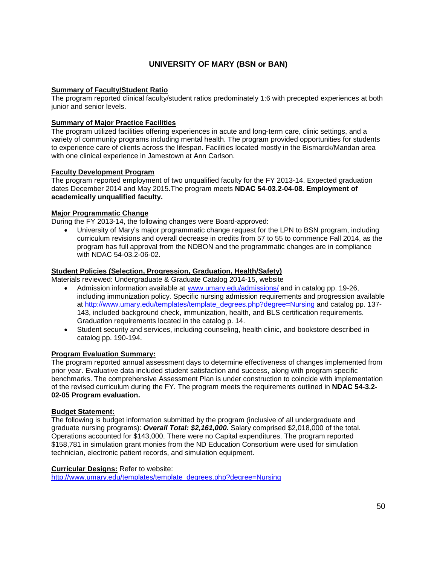### **UNIVERSITY OF MARY (BSN or BAN)**

### **Summary of Faculty/Student Ratio**

The program reported clinical faculty/student ratios predominately 1:6 with precepted experiences at both junior and senior levels.

### **Summary of Major Practice Facilities**

The program utilized facilities offering experiences in acute and long-term care, clinic settings, and a variety of community programs including mental health. The program provided opportunities for students to experience care of clients across the lifespan. Facilities located mostly in the Bismarck/Mandan area with one clinical experience in Jamestown at Ann Carlson.

### **Faculty Development Program**

The program reported employment of two unqualified faculty for the FY 2013-14. Expected graduation dates December 2014 and May 2015.The program meets **NDAC 54-03.2-04-08. Employment of academically unqualified faculty.**

### **Major Programmatic Change**

During the FY 2013-14, the following changes were Board-approved:

• University of Mary's major programmatic change request for the LPN to BSN program, including curriculum revisions and overall decrease in credits from 57 to 55 to commence Fall 2014, as the program has full approval from the NDBON and the programmatic changes are in compliance with NDAC 54-03.2-06-02.

### **Student Policies (Selection, Progression, Graduation, Health/Safety)**

Materials reviewed: Undergraduate & Graduate Catalog 2014-15, website

- Admission information available at [www.umary.edu/admissions/](http://www.umary.edu/admissions/) and in catalog pp. 19-26, including immunization policy. Specific nursing admission requirements and progression available at [http://www.umary.edu/templates/template\\_degrees.php?degree=Nursing](http://www.umary.edu/templates/template_degrees.php?degree=Nursing) and catalog pp. 137- 143, included background check, immunization, health, and BLS certification requirements. Graduation requirements located in the catalog p. 14.
- Student security and services, including counseling, health clinic, and bookstore described in catalog pp. 190-194.

#### **Program Evaluation Summary:**

The program reported annual assessment days to determine effectiveness of changes implemented from prior year. Evaluative data included student satisfaction and success, along with program specific benchmarks. The comprehensive Assessment Plan is under construction to coincide with implementation of the revised curriculum during the FY. The program meets the requirements outlined in **NDAC 54-3.2- 02-05 Program evaluation.**

#### **Budget Statement:**

The following is budget information submitted by the program (inclusive of all undergraduate and graduate nursing programs): *Overall Total: \$2,161,000.* Salary comprised \$2,018,000 of the total. Operations accounted for \$143,000. There were no Capital expenditures. The program reported \$158,781 in simulation grant monies from the ND Education Consortium were used for simulation technician, electronic patient records, and simulation equipment.

#### **Curricular Designs:** Refer to website:

[http://www.umary.edu/templates/template\\_degrees.php?degree=Nursing](http://www.umary.edu/templates/template_degrees.php?degree=Nursing)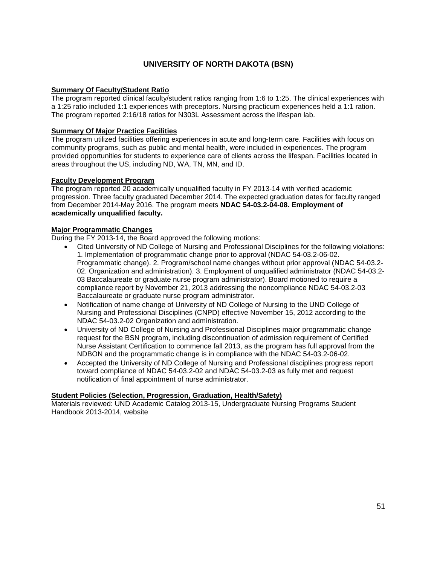### **UNIVERSITY OF NORTH DAKOTA (BSN)**

### **Summary Of Faculty/Student Ratio**

The program reported clinical faculty/student ratios ranging from 1:6 to 1:25. The clinical experiences with a 1:25 ratio included 1:1 experiences with preceptors. Nursing practicum experiences held a 1:1 ration. The program reported 2:16/18 ratios for N303L Assessment across the lifespan lab.

### **Summary Of Major Practice Facilities**

The program utilized facilities offering experiences in acute and long-term care. Facilities with focus on community programs, such as public and mental health, were included in experiences. The program provided opportunities for students to experience care of clients across the lifespan. Facilities located in areas throughout the US, including ND, WA, TN, MN, and ID.

### **Faculty Development Program**

The program reported 20 academically unqualified faculty in FY 2013-14 with verified academic progression. Three faculty graduated December 2014. The expected graduation dates for faculty ranged from December 2014-May 2016. The program meets **NDAC 54-03.2-04-08. Employment of academically unqualified faculty.**

### **Major Programmatic Changes**

During the FY 2013-14, the Board approved the following motions:

- Cited University of ND College of Nursing and Professional Disciplines for the following violations: 1. Implementation of programmatic change prior to approval (NDAC 54-03.2-06-02. Programmatic change). 2. Program/school name changes without prior approval (NDAC 54-03.2- 02. Organization and administration). 3. Employment of unqualified administrator (NDAC 54-03.2- 03 Baccalaureate or graduate nurse program administrator). Board motioned to require a compliance report by November 21, 2013 addressing the noncompliance NDAC 54-03.2-03 Baccalaureate or graduate nurse program administrator.
- Notification of name change of University of ND College of Nursing to the UND College of Nursing and Professional Disciplines (CNPD) effective November 15, 2012 according to the NDAC 54-03.2-02 Organization and administration.
- University of ND College of Nursing and Professional Disciplines major programmatic change request for the BSN program, including discontinuation of admission requirement of Certified Nurse Assistant Certification to commence fall 2013, as the program has full approval from the NDBON and the programmatic change is in compliance with the NDAC 54-03.2-06-02.
- Accepted the University of ND College of Nursing and Professional disciplines progress report toward compliance of NDAC 54-03.2-02 and NDAC 54-03.2-03 as fully met and request notification of final appointment of nurse administrator.

#### **Student Policies (Selection, Progression, Graduation, Health/Safety)**

Materials reviewed: UND Academic Catalog 2013-15, Undergraduate Nursing Programs Student Handbook 2013-2014, website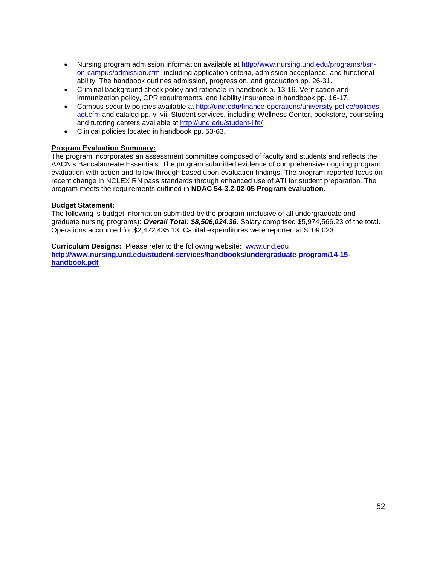- Nursing program admission information available at [http://www.nursing.und.edu/programs/bsn](http://www.nursing.und.edu/programs/bsn-on-campus/admission.cfm)[on-campus/admission.cfm](http://www.nursing.und.edu/programs/bsn-on-campus/admission.cfm) including application criteria, admission acceptance, and functional ability. The handbook outlines admission, progression, and graduation pp. 26-31.
- Criminal background check policy and rationale in handbook p. 13-16. Verification and immunization policy, CPR requirements, and liability insurance in handbook pp. 16-17.
- Campus security policies available at [http://und.edu/finance-operations/university-police/policies](http://und.edu/finance-operations/university-police/policies-act.cfm)[act.cfm](http://und.edu/finance-operations/university-police/policies-act.cfm) and catalog pp. vi-vii. Student services, including Wellness Center, bookstore, counseling and tutoring centers available at<http://und.edu/student-life/>
- Clinical policies located in handbook pp. 53-63.

### **Program Evaluation Summary:**

The program incorporates an assessment committee composed of faculty and students and reflects the AACN's Baccalaureate Essentials. The program submitted evidence of comprehensive ongoing program evaluation with action and follow through based upon evaluation findings. The program reported focus on recent change in NCLEX RN pass standards through enhanced use of ATI for student preparation. The program meets the requirements outlined in **NDAC 54-3.2-02-05 Program evaluation.**

### **Budget Statement:**

The following is budget information submitted by the program (inclusive of all undergraduate and graduate nursing programs): *Overall Total: \$8,506,024.36.* Salary comprised \$5,974,566.23 of the total. Operations accounted for \$2,422,435.13. Capital expenditures were reported at \$109,023.

**Curriculum Designs:** Please refer to the following website: [www.und.edu](http://www.und.edu/) **[http://www.nursing.und.edu/student-services/handbooks/undergraduate-program/14-15](http://www.nursing.und.edu/student-services/handbooks/undergraduate-program/14-15-handbook.pdf) [handbook.pdf](http://www.nursing.und.edu/student-services/handbooks/undergraduate-program/14-15-handbook.pdf)**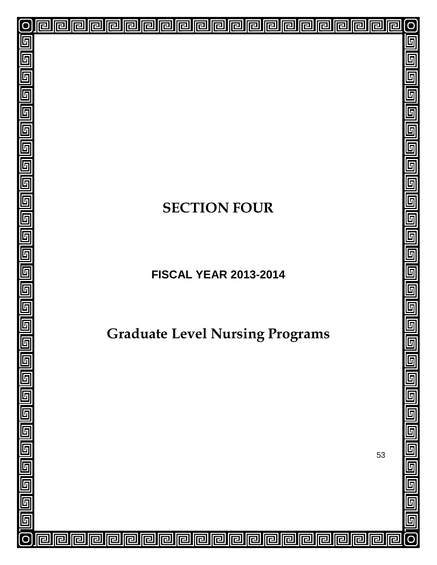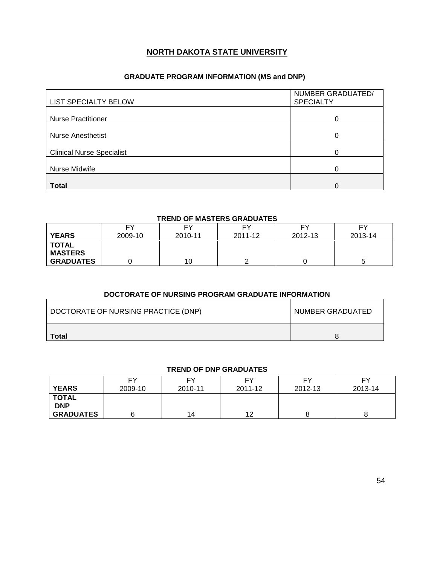### **NORTH DAKOTA STATE UNIVERSITY**

### **GRADUATE PROGRAM INFORMATION (MS and DNP)**

| <b>LIST SPECIALTY BELOW</b>      | NUMBER GRADUATED/<br><b>SPECIALTY</b> |
|----------------------------------|---------------------------------------|
| <b>Nurse Practitioner</b>        | 0                                     |
| <b>Nurse Anesthetist</b>         | 0                                     |
| <b>Clinical Nurse Specialist</b> | ∩                                     |
| Nurse Midwife                    |                                       |
| <b>Total</b>                     | 0                                     |

#### **TREND OF MASTERS GRADUATES**

|                                | FY      | FY      | FΥ      | EV      | FΥ      |
|--------------------------------|---------|---------|---------|---------|---------|
| <b>YEARS</b>                   | 2009-10 | 2010-11 | 2011-12 | 2012-13 | 2013-14 |
| <b>TOTAL</b><br><b>MASTERS</b> |         |         |         |         |         |
| <b>GRADUATES</b>               |         | 10      |         |         |         |

### **DOCTORATE OF NURSING PROGRAM GRADUATE INFORMATION**

| DOCTORATE OF NURSING PRACTICE (DNP) | NUMBER GRADUATED |
|-------------------------------------|------------------|
| Total                               |                  |

### **TREND OF DNP GRADUATES**

| <b>YEARS</b>                                   | <b>FY</b> | F۷      | FΥ      | FΥ      | FΥ      |
|------------------------------------------------|-----------|---------|---------|---------|---------|
|                                                | 2009-10   | 2010-11 | 2011-12 | 2012-13 | 2013-14 |
| <b>TOTAL</b><br><b>DNP</b><br><b>GRADUATES</b> |           | 14      | 12      |         |         |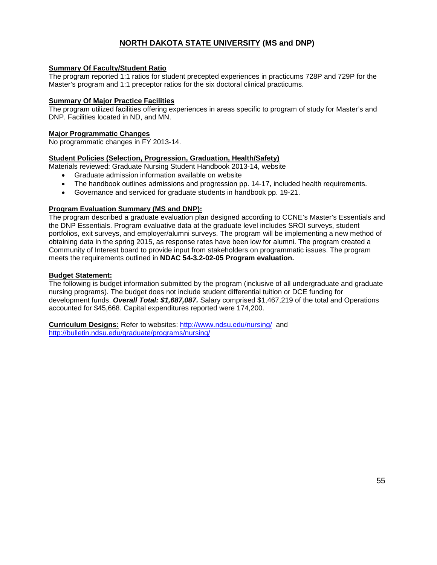### **NORTH DAKOTA STATE UNIVERSITY (MS and DNP)**

### **Summary Of Faculty/Student Ratio**

The program reported 1:1 ratios for student precepted experiences in practicums 728P and 729P for the Master's program and 1:1 preceptor ratios for the six doctoral clinical practicums.

#### **Summary Of Major Practice Facilities**

The program utilized facilities offering experiences in areas specific to program of study for Master's and DNP. Facilities located in ND, and MN.

### **Major Programmatic Changes**

No programmatic changes in FY 2013-14.

### **Student Policies (Selection, Progression, Graduation, Health/Safety)**

Materials reviewed: Graduate Nursing Student Handbook 2013-14, website

- Graduate admission information available on website
- The handbook outlines admissions and progression pp. 14-17, included health requirements.
- Governance and serviced for graduate students in handbook pp. 19-21.

### **Program Evaluation Summary (MS and DNP):**

The program described a graduate evaluation plan designed according to CCNE's Master's Essentials and the DNP Essentials. Program evaluative data at the graduate level includes SROI surveys, student portfolios, exit surveys, and employer/alumni surveys. The program will be implementing a new method of obtaining data in the spring 2015, as response rates have been low for alumni. The program created a Community of Interest board to provide input from stakeholders on programmatic issues. The program meets the requirements outlined in **NDAC 54-3.2-02-05 Program evaluation.**

### **Budget Statement:**

The following is budget information submitted by the program (inclusive of all undergraduate and graduate nursing programs). The budget does not include student differential tuition or DCE funding for development funds. *Overall Total: \$1,687,087.* Salary comprised \$1,467,219 of the total and Operations accounted for \$45,668. Capital expenditures reported were 174,200.

**Curriculum Designs:** Refer to websites: <http://www.ndsu.edu/nursing/> and <http://bulletin.ndsu.edu/graduate/programs/nursing/>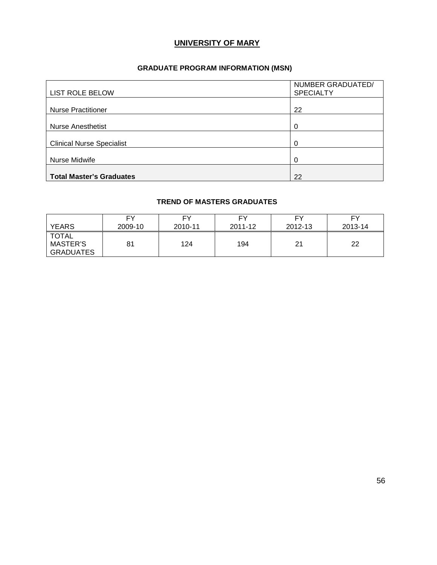### **UNIVERSITY OF MARY**

### **GRADUATE PROGRAM INFORMATION (MSN)**

| <b>LIST ROLE BELOW</b>           | NUMBER GRADUATED/<br><b>SPECIALTY</b> |
|----------------------------------|---------------------------------------|
| <b>Nurse Practitioner</b>        | 22                                    |
| <b>Nurse Anesthetist</b>         | 0                                     |
| <b>Clinical Nurse Specialist</b> | 0                                     |
| Nurse Midwife                    | 0                                     |
| <b>Total Master's Graduates</b>  | 22                                    |

### **TREND OF MASTERS GRADUATES**

| <b>YEARS</b>                                        | FΥ      | FΥ      | FV.     | FΥ      | FY      |
|-----------------------------------------------------|---------|---------|---------|---------|---------|
|                                                     | 2009-10 | 2010-11 | 2011-12 | 2012-13 | 2013-14 |
| <b>TOTAL</b><br><b>MASTER'S</b><br><b>GRADUATES</b> | 81      | 124     | 194     | 21      | 22      |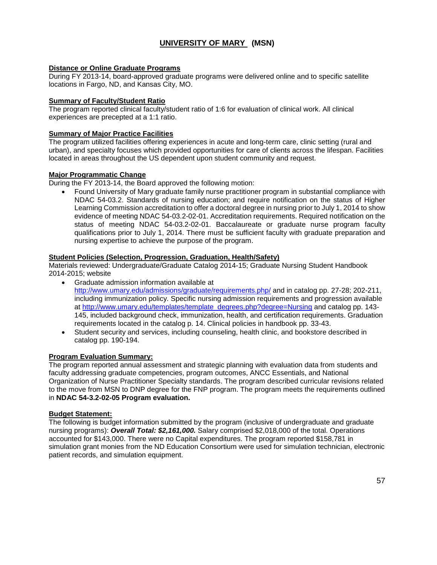### **UNIVERSITY OF MARY (MSN)**

### **Distance or Online Graduate Programs**

During FY 2013-14, board-approved graduate programs were delivered online and to specific satellite locations in Fargo, ND, and Kansas City, MO.

#### **Summary of Faculty/Student Ratio**

The program reported clinical faculty/student ratio of 1:6 for evaluation of clinical work. All clinical experiences are precepted at a 1:1 ratio.

#### **Summary of Major Practice Facilities**

The program utilized facilities offering experiences in acute and long-term care, clinic setting (rural and urban), and specialty focuses which provided opportunities for care of clients across the lifespan. Facilities located in areas throughout the US dependent upon student community and request.

#### **Major Programmatic Change**

During the FY 2013-14, the Board approved the following motion:

• Found University of Mary graduate family nurse practitioner program in substantial compliance with NDAC 54-03.2. Standards of nursing education; and require notification on the status of Higher Learning Commission accreditation to offer a doctoral degree in nursing prior to July 1, 2014 to show evidence of meeting NDAC 54-03.2-02-01. Accreditation requirements. Required notification on the status of meeting NDAC 54-03.2-02-01. Baccalaureate or graduate nurse program faculty qualifications prior to July 1, 2014. There must be sufficient faculty with graduate preparation and nursing expertise to achieve the purpose of the program.

#### **Student Policies (Selection, Progression, Graduation, Health/Safety)**

Materials reviewed: Undergraduate/Graduate Catalog 2014-15; Graduate Nursing Student Handbook 2014-2015; website

- Graduate admission information available at [http://www.umary.edu/admissions/graduate/requirements.php/](http://www.umary.edu/admissions/) and in catalog pp. 27-28; 202-211, including immunization policy. Specific nursing admission requirements and progression available at http://www.umary.edu/templates/template degrees.php?degree=Nursing and catalog pp. 143-145, included background check, immunization, health, and certification requirements. Graduation requirements located in the catalog p. 14. Clinical policies in handbook pp. 33-43.
- Student security and services, including counseling, health clinic, and bookstore described in catalog pp. 190-194.

#### **Program Evaluation Summary:**

The program reported annual assessment and strategic planning with evaluation data from students and faculty addressing graduate competencies, program outcomes, ANCC Essentials, and National Organization of Nurse Practitioner Specialty standards. The program described curricular revisions related to the move from MSN to DNP degree for the FNP program. The program meets the requirements outlined in **NDAC 54-3.2-02-05 Program evaluation.**

#### **Budget Statement:**

The following is budget information submitted by the program (inclusive of undergraduate and graduate nursing programs): *Overall Total: \$2,161,000.* Salary comprised \$2,018,000 of the total. Operations accounted for \$143,000. There were no Capital expenditures. The program reported \$158,781 in simulation grant monies from the ND Education Consortium were used for simulation technician, electronic patient records, and simulation equipment.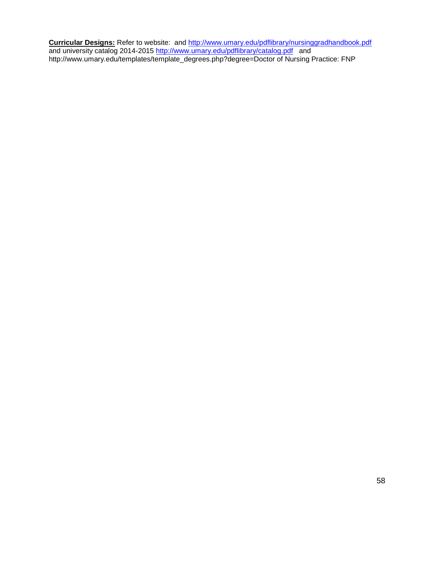**Curricular Designs:** Refer to website: and<http://www.umary.edu/pdflibrary/nursinggradhandbook.pdf> and university catalog 2014-2015 <u>http://www.umary.edu/pdflibrary/catalog.pdf</u> and http://www.umary.edu/templates/template\_degrees.php?degree=Doctor of Nursing Practice: FNP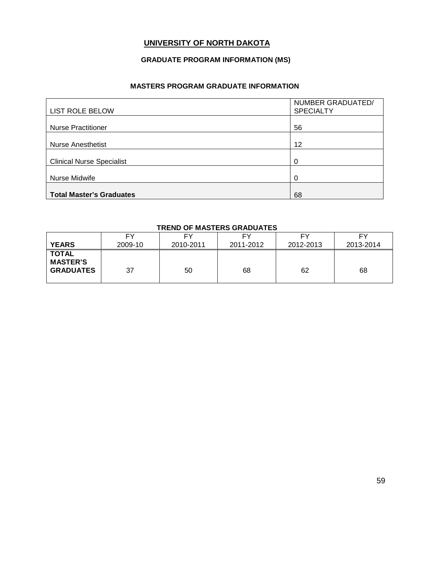### **UNIVERSITY OF NORTH DAKOTA**

### **GRADUATE PROGRAM INFORMATION (MS)**

### **MASTERS PROGRAM GRADUATE INFORMATION**

|                                  | NUMBER GRADUATED/ |
|----------------------------------|-------------------|
| <b>LIST ROLE BELOW</b>           | <b>SPECIALTY</b>  |
|                                  |                   |
| <b>Nurse Practitioner</b>        | 56                |
|                                  |                   |
| <b>Nurse Anesthetist</b>         | 12                |
|                                  |                   |
| <b>Clinical Nurse Specialist</b> | 0                 |
|                                  |                   |
| Nurse Midwife                    | 0                 |
|                                  |                   |
| <b>Total Master's Graduates</b>  | 68                |

### **TREND OF MASTERS GRADUATES**

| <b>YEARS</b>                                        | FΥ      | F۲        | EV        | FΥ        | F٧        |
|-----------------------------------------------------|---------|-----------|-----------|-----------|-----------|
|                                                     | 2009-10 | 2010-2011 | 2011-2012 | 2012-2013 | 2013-2014 |
| <b>TOTAL</b><br><b>MASTER'S</b><br><b>GRADUATES</b> | 37      | 50        | 68        | 62        | 68        |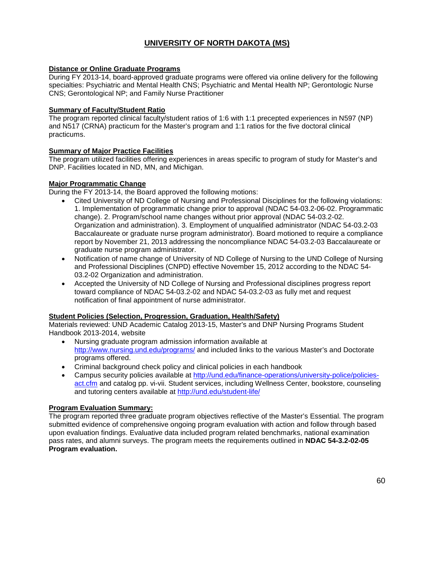### **UNIVERSITY OF NORTH DAKOTA (MS)**

### **Distance or Online Graduate Programs**

During FY 2013-14, board-approved graduate programs were offered via online delivery for the following specialties: Psychiatric and Mental Health CNS; Psychiatric and Mental Health NP; Gerontologic Nurse CNS; Gerontological NP; and Family Nurse Practitioner

### **Summary of Faculty/Student Ratio**

The program reported clinical faculty/student ratios of 1:6 with 1:1 precepted experiences in N597 (NP) and N517 (CRNA) practicum for the Master's program and 1:1 ratios for the five doctoral clinical practicums.

### **Summary of Major Practice Facilities**

The program utilized facilities offering experiences in areas specific to program of study for Master's and DNP. Facilities located in ND, MN, and Michigan.

### **Major Programmatic Change**

During the FY 2013-14, the Board approved the following motions:

- Cited University of ND College of Nursing and Professional Disciplines for the following violations: 1. Implementation of programmatic change prior to approval (NDAC 54-03.2-06-02. Programmatic change). 2. Program/school name changes without prior approval (NDAC 54-03.2-02. Organization and administration). 3. Employment of unqualified administrator (NDAC 54-03.2-03 Baccalaureate or graduate nurse program administrator). Board motioned to require a compliance report by November 21, 2013 addressing the noncompliance NDAC 54-03.2-03 Baccalaureate or graduate nurse program administrator.
- Notification of name change of University of ND College of Nursing to the UND College of Nursing and Professional Disciplines (CNPD) effective November 15, 2012 according to the NDAC 54- 03.2-02 Organization and administration.
- Accepted the University of ND College of Nursing and Professional disciplines progress report toward compliance of NDAC 54-03.2-02 and NDAC 54-03.2-03 as fully met and request notification of final appointment of nurse administrator.

### **Student Policies (Selection, Progression, Graduation, Health/Safety)**

Materials reviewed: UND Academic Catalog 2013-15, Master's and DNP Nursing Programs Student Handbook 2013-2014, website

- Nursing graduate program admission information available at <http://www.nursing.und.edu/programs/> and included links to the various Master's and Doctorate programs offered.
- Criminal background check policy and clinical policies in each handbook
- Campus security policies available at [http://und.edu/finance-operations/university-police/policies](http://und.edu/finance-operations/university-police/policies-act.cfm)[act.cfm](http://und.edu/finance-operations/university-police/policies-act.cfm) and catalog pp. vi-vii. Student services, including Wellness Center, bookstore, counseling and tutoring centers available at<http://und.edu/student-life/>

### **Program Evaluation Summary:**

The program reported three graduate program objectives reflective of the Master's Essential. The program submitted evidence of comprehensive ongoing program evaluation with action and follow through based upon evaluation findings. Evaluative data included program related benchmarks, national examination pass rates, and alumni surveys. The program meets the requirements outlined in **NDAC 54-3.2-02-05 Program evaluation.**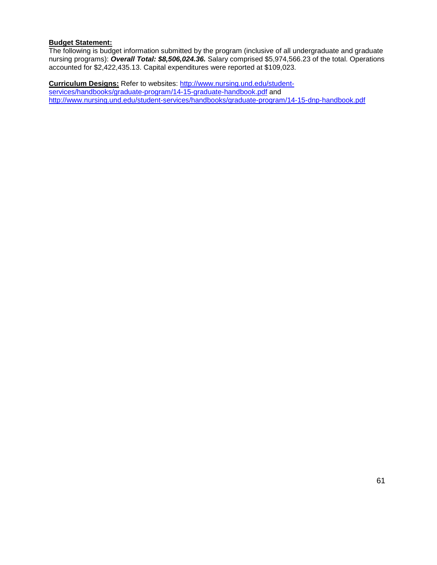#### **Budget Statement:**

The following is budget information submitted by the program (inclusive of all undergraduate and graduate nursing programs): *Overall Total: \$8,506,024.36.* Salary comprised \$5,974,566.23 of the total. Operations accounted for \$2,422,435.13. Capital expenditures were reported at \$109,023.

**Curriculum Designs:** Refer to websites: [http://www.nursing.und.edu/student](http://www.nursing.und.edu/student-services/handbooks/graduate-program/14-15-graduate-handbook.pdf)[services/handbooks/graduate-program/14-15-graduate-handbook.pdf](http://www.nursing.und.edu/student-services/handbooks/graduate-program/14-15-graduate-handbook.pdf) and <http://www.nursing.und.edu/student-services/handbooks/graduate-program/14-15-dnp-handbook.pdf>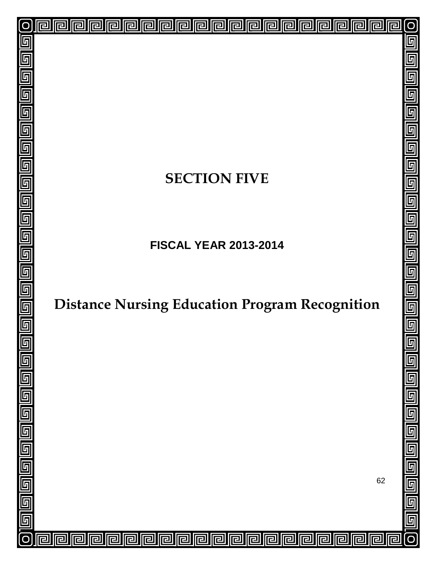# **SECTION FIVE**

回

<mark>ㄹ</mark>

已

囘

린

戸

戸

冋

囘

囘

囘

同

囘

 $\overline{\mathbf{r}}$ 

囘

冋

lr

冋

厄

冋

囘

己

互

5

 $\overline{\mathfrak{h}}$ 

 $\overline{\mathbb{F}}$ 

5

 $\overline{\mathsf{F}}$ 

5

 $\overline{\mathbb{F}}$ 

 $\overline{\mathfrak{h}}$ 

 $\overline{\mathbb{F}}$ 

 $\overline{\overline{\mathbb{F}}}% \left[ \begin{array}{cc} \overline{\mathbb{F}}% & \overline{\mathbb{F}}% & \overline{\mathbb{F}}% & \overline{\mathbb{F}}% & \overline{\mathbb{F}}% & \overline{\mathbb{F}}% & \overline{\mathbb{F}}% & \overline{\mathbb{F}}% & \overline{\mathbb{F}}% & \overline{\mathbb{F}}% & \overline{\mathbb{F}}% & \overline{\mathbb{F}}% & \overline{\mathbb{F}}% & \overline{\mathbb{F}}% & \overline{\mathbb{F}}% & \overline{\mathbb{F}}% & \overline{\mathbb{F}}% & \overline{\mathbb{F}}%$ 

 $\overline{\mathsf{F}}$ 

6

 $\overline{\mathsf{L}}$ 

 $\overline{\mathsf{F}}$ 

5

6

回

回

回

囘

厄

戸

**FISCAL YEAR 2013-2014**

# **Distance Nursing Education Program Recognition**

62

 $\overline{\mathsf{L}}$ 

互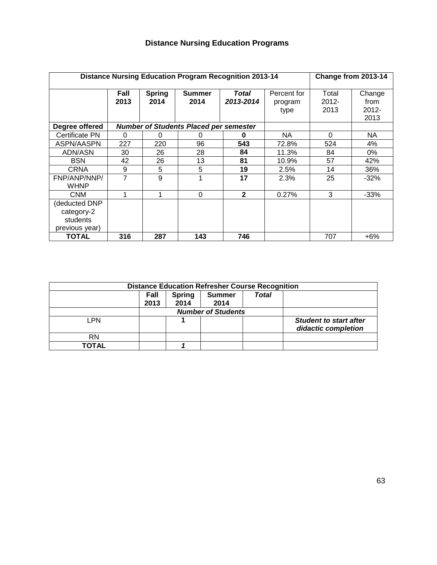|                                                          | <b>Distance Nursing Education Program Recognition 2013-14</b> |                       |                                               |                    |                        | Change from 2013-14       |                            |
|----------------------------------------------------------|---------------------------------------------------------------|-----------------------|-----------------------------------------------|--------------------|------------------------|---------------------------|----------------------------|
|                                                          | Fall<br>2013                                                  | <b>Spring</b><br>2014 | <b>Summer</b><br>2014                         | Total<br>2013-2014 | Percent for<br>program | Total<br>$2012 -$<br>2013 | Change<br>from<br>$2012 -$ |
|                                                          |                                                               |                       |                                               |                    | type                   |                           | 2013                       |
| Degree offered                                           |                                                               |                       | <b>Number of Students Placed per semester</b> |                    |                        |                           |                            |
| Certificate PN                                           | 0                                                             | $\Omega$              | o                                             | 0                  | NA.                    | $\Omega$                  | NA.                        |
| ASPN/AASPN                                               | 227                                                           | 220                   | 96                                            | 543                | 72.8%                  | 524                       | 4%                         |
| ADN/ASN                                                  | 30                                                            | 26                    | 28                                            | 84                 | 11.3%                  | 84                        | 0%                         |
| <b>BSN</b>                                               | 42                                                            | 26                    | 13                                            | 81                 | 10.9%                  | 57                        | 42%                        |
| <b>CRNA</b>                                              | 9                                                             | 5                     | 5                                             | 19                 | 2.5%                   | 14                        | 36%                        |
| FNP/ANP/NNP/<br><b>WHNP</b>                              | $\overline{7}$                                                | 9                     |                                               | 17                 | 2.3%                   | 25                        | $-32%$                     |
| CNM                                                      | 1                                                             | 1                     | $\Omega$                                      | $\mathbf{2}$       | 0.27%                  | 3                         | $-33%$                     |
| deducted DNP<br>category-2<br>students<br>previous year) |                                                               |                       |                                               |                    |                        |                           |                            |
| <b>TOTAL</b>                                             | 316                                                           | 287                   | 143                                           | 746                |                        | 707                       | +6%                        |

| <b>Distance Education Refresher Course Recognition</b> |              |                       |                       |       |                                                      |
|--------------------------------------------------------|--------------|-----------------------|-----------------------|-------|------------------------------------------------------|
|                                                        | Fall<br>2013 | <b>Spring</b><br>2014 | <b>Summer</b><br>2014 | Total |                                                      |
| <b>Number of Students</b>                              |              |                       |                       |       |                                                      |
| LPN                                                    |              |                       |                       |       | <b>Student to start after</b><br>didactic completion |
| <b>RN</b>                                              |              |                       |                       |       |                                                      |
| TOTAL                                                  |              |                       |                       |       |                                                      |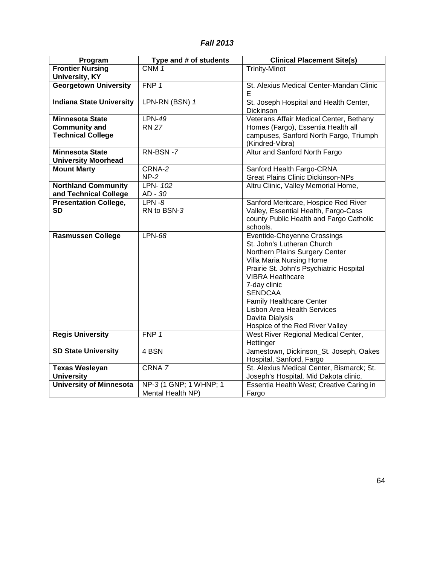### *Fall 2013*

| Program                                              | Type and # of students | <b>Clinical Placement Site(s)</b>                                     |
|------------------------------------------------------|------------------------|-----------------------------------------------------------------------|
| <b>Frontier Nursing</b>                              | CNM <sub>1</sub>       | <b>Trinity-Minot</b>                                                  |
| <b>University, KY</b>                                |                        |                                                                       |
| <b>Georgetown University</b>                         | FNP 1                  | St. Alexius Medical Center-Mandan Clinic<br>Е                         |
| <b>Indiana State University</b>                      | LPN-RN (BSN) 1         | St. Joseph Hospital and Health Center,<br>Dickinson                   |
| <b>Minnesota State</b>                               | <b>LPN-49</b>          | Veterans Affair Medical Center, Bethany                               |
| <b>Community and</b>                                 | <b>RN 27</b>           | Homes (Fargo), Essentia Health all                                    |
| <b>Technical College</b>                             |                        | campuses, Sanford North Fargo, Triumph<br>(Kindred-Vibra)             |
| <b>Minnesota State</b><br><b>University Moorhead</b> | RN-BSN-7               | Altur and Sanford North Fargo                                         |
| <b>Mount Marty</b>                                   | CRNA-2                 | Sanford Health Fargo-CRNA                                             |
|                                                      | $NP-2$                 | <b>Great Plains Clinic Dickinson-NPs</b>                              |
| <b>Northland Community</b>                           | LPN- 102               | Altru Clinic, Valley Memorial Home,                                   |
| and Technical College                                | AD - 30                |                                                                       |
| <b>Presentation College,</b>                         | $LPN - 8$              | Sanford Meritcare, Hospice Red River                                  |
| <b>SD</b>                                            | RN to BSN-3            | Valley, Essential Health, Fargo-Cass                                  |
|                                                      |                        | county Public Health and Fargo Catholic                               |
|                                                      |                        | schools.                                                              |
| <b>Rasmussen College</b>                             | LPN-68                 | <b>Eventide-Cheyenne Crossings</b>                                    |
|                                                      |                        | St. John's Lutheran Church<br>Northern Plains Surgery Center          |
|                                                      |                        | Villa Maria Nursing Home                                              |
|                                                      |                        | Prairie St. John's Psychiatric Hospital                               |
|                                                      |                        | <b>VIBRA Healthcare</b>                                               |
|                                                      |                        | 7-day clinic                                                          |
|                                                      |                        | <b>SENDCAA</b>                                                        |
|                                                      |                        | <b>Family Healthcare Center</b>                                       |
|                                                      |                        | <b>Lisbon Area Health Services</b>                                    |
|                                                      |                        | Davita Dialysis                                                       |
|                                                      |                        | Hospice of the Red River Valley                                       |
| <b>Regis University</b>                              | FNP 1                  | West River Regional Medical Center,                                   |
|                                                      |                        | Hettinger                                                             |
| <b>SD State University</b>                           | 4 BSN                  | Jamestown, Dickinson_St. Joseph, Oakes                                |
| <b>Texas Wesleyan</b>                                | CRNA 7                 | Hospital, Sanford, Fargo<br>St. Alexius Medical Center, Bismarck; St. |
| <b>University</b>                                    |                        | Joseph's Hospital, Mid Dakota clinic.                                 |
| <b>University of Minnesota</b>                       | NP-3 (1 GNP; 1 WHNP; 1 | Essentia Health West; Creative Caring in                              |
|                                                      | Mental Health NP)      | Fargo                                                                 |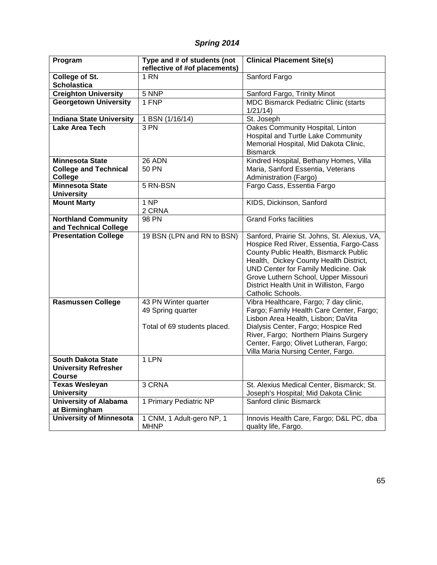### *Spring 2014*

| Program                         | Type and # of students (not   | <b>Clinical Placement Site(s)</b>                             |
|---------------------------------|-------------------------------|---------------------------------------------------------------|
|                                 | reflective of #of placements) |                                                               |
| College of St.                  | 1 RN                          | Sanford Fargo                                                 |
| <b>Scholastica</b>              |                               |                                                               |
| <b>Creighton University</b>     | 5 NNP                         | Sanford Fargo, Trinity Minot                                  |
| <b>Georgetown University</b>    | 1 FNP                         | <b>MDC Bismarck Pediatric Clinic (starts</b>                  |
|                                 |                               | 1/21/14                                                       |
| <b>Indiana State University</b> | 1 BSN (1/16/14)               | St. Joseph                                                    |
| <b>Lake Area Tech</b>           | $\overline{3}$ PN             | Oakes Community Hospital, Linton                              |
|                                 |                               | Hospital and Turtle Lake Community                            |
|                                 |                               | Memorial Hospital, Mid Dakota Clinic,                         |
|                                 |                               | <b>Bismarck</b>                                               |
| <b>Minnesota State</b>          | 26 ADN                        | Kindred Hospital, Bethany Homes, Villa                        |
| <b>College and Technical</b>    | <b>50 PN</b>                  | Maria, Sanford Essentia, Veterans                             |
| College                         |                               | Administration (Fargo)                                        |
| <b>Minnesota State</b>          | 5 RN-BSN                      | Fargo Cass, Essentia Fargo                                    |
| <b>University</b>               |                               |                                                               |
| <b>Mount Marty</b>              | 1 <sub>NP</sub>               | KIDS, Dickinson, Sanford                                      |
|                                 | 2 CRNA                        |                                                               |
| <b>Northland Community</b>      | 98 PN                         | <b>Grand Forks facilities</b>                                 |
| and Technical College           |                               |                                                               |
| <b>Presentation College</b>     | 19 BSN (LPN and RN to BSN)    | Sanford, Prairie St. Johns, St. Alexius, VA,                  |
|                                 |                               | Hospice Red River, Essentia, Fargo-Cass                       |
|                                 |                               | County Public Health, Bismarck Public                         |
|                                 |                               | Health, Dickey County Health District,                        |
|                                 |                               | UND Center for Family Medicine. Oak                           |
|                                 |                               | Grove Luthern School, Upper Missouri                          |
|                                 |                               | District Health Unit in Williston, Fargo<br>Catholic Schools. |
| <b>Rasmussen College</b>        | 43 PN Winter quarter          | Vibra Healthcare, Fargo; 7 day clinic,                        |
|                                 | 49 Spring quarter             | Fargo; Family Health Care Center, Fargo;                      |
|                                 |                               | Lisbon Area Health, Lisbon; DaVita                            |
|                                 | Total of 69 students placed.  | Dialysis Center, Fargo; Hospice Red                           |
|                                 |                               | River, Fargo; Northern Plains Surgery                         |
|                                 |                               | Center, Fargo; Olivet Lutheran, Fargo;                        |
|                                 |                               | Villa Maria Nursing Center, Fargo.                            |
| <b>South Dakota State</b>       | 1 LPN                         |                                                               |
| <b>University Refresher</b>     |                               |                                                               |
| Course                          |                               |                                                               |
| <b>Texas Wesleyan</b>           | 3 CRNA                        | St. Alexius Medical Center, Bismarck; St.                     |
| <b>University</b>               |                               | Joseph's Hospital; Mid Dakota Clinic                          |
| <b>University of Alabama</b>    | 1 Primary Pediatric NP        | Sanford clinic Bismarck                                       |
| at Birmingham                   |                               |                                                               |
| <b>University of Minnesota</b>  | 1 CNM, 1 Adult-gero NP, 1     | Innovis Health Care, Fargo; D&L PC, dba                       |
|                                 | <b>MHNP</b>                   | quality life, Fargo.                                          |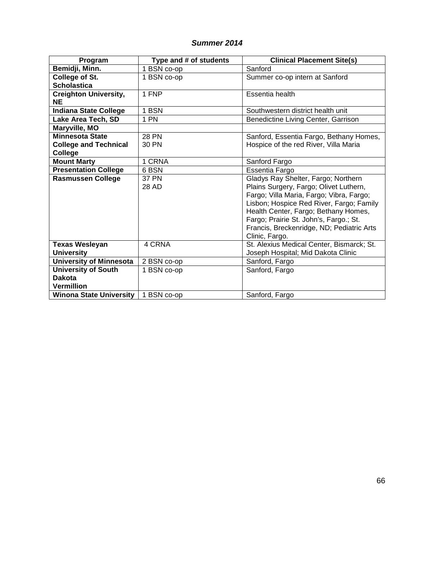### *Summer 2014*

| Program                                    | Type and # of students | <b>Clinical Placement Site(s)</b>                                                                                                                                                                                                                                                                                      |
|--------------------------------------------|------------------------|------------------------------------------------------------------------------------------------------------------------------------------------------------------------------------------------------------------------------------------------------------------------------------------------------------------------|
| Bemidji, Minn.                             | 1 BSN co-op            | Sanford                                                                                                                                                                                                                                                                                                                |
| College of St.                             | 1 BSN co-op            | Summer co-op intern at Sanford                                                                                                                                                                                                                                                                                         |
| <b>Scholastica</b>                         |                        |                                                                                                                                                                                                                                                                                                                        |
| <b>Creighton University,</b>               | 1 FNP                  | Essentia health                                                                                                                                                                                                                                                                                                        |
| <b>NE</b>                                  |                        |                                                                                                                                                                                                                                                                                                                        |
| <b>Indiana State College</b>               | 1 BSN                  | Southwestern district health unit                                                                                                                                                                                                                                                                                      |
| Lake Area Tech, SD                         | 1 PN                   | Benedictine Living Center, Garrison                                                                                                                                                                                                                                                                                    |
| Maryville, MO                              |                        |                                                                                                                                                                                                                                                                                                                        |
| <b>Minnesota State</b>                     | <b>28 PN</b>           | Sanford, Essentia Fargo, Bethany Homes,                                                                                                                                                                                                                                                                                |
| <b>College and Technical</b>               | 30 PN                  | Hospice of the red River, Villa Maria                                                                                                                                                                                                                                                                                  |
| College                                    |                        |                                                                                                                                                                                                                                                                                                                        |
| <b>Mount Marty</b>                         | 1 CRNA                 | Sanford Fargo                                                                                                                                                                                                                                                                                                          |
| <b>Presentation College</b>                | 6 BSN                  | Essentia Fargo                                                                                                                                                                                                                                                                                                         |
| <b>Rasmussen College</b>                   | <b>37 PN</b><br>28 AD  | Gladys Ray Shelter, Fargo; Northern<br>Plains Surgery, Fargo; Olivet Luthern,<br>Fargo; Villa Maria, Fargo; Vibra, Fargo;<br>Lisbon; Hospice Red River, Fargo; Family<br>Health Center, Fargo; Bethany Homes,<br>Fargo; Prairie St. John's, Fargo.; St.<br>Francis, Breckenridge, ND; Pediatric Arts<br>Clinic, Fargo. |
| <b>Texas Wesleyan</b><br><b>University</b> | 4 CRNA                 | St. Alexius Medical Center, Bismarck; St.<br>Joseph Hospital; Mid Dakota Clinic                                                                                                                                                                                                                                        |
| <b>University of Minnesota</b>             | 2 BSN co-op            | Sanford, Fargo                                                                                                                                                                                                                                                                                                         |
| <b>University of South</b>                 | 1 BSN co-op            | Sanford, Fargo                                                                                                                                                                                                                                                                                                         |
| <b>Dakota</b>                              |                        |                                                                                                                                                                                                                                                                                                                        |
| <b>Vermillion</b>                          |                        |                                                                                                                                                                                                                                                                                                                        |
| <b>Winona State University</b>             | 1 BSN co-op            | Sanford, Fargo                                                                                                                                                                                                                                                                                                         |